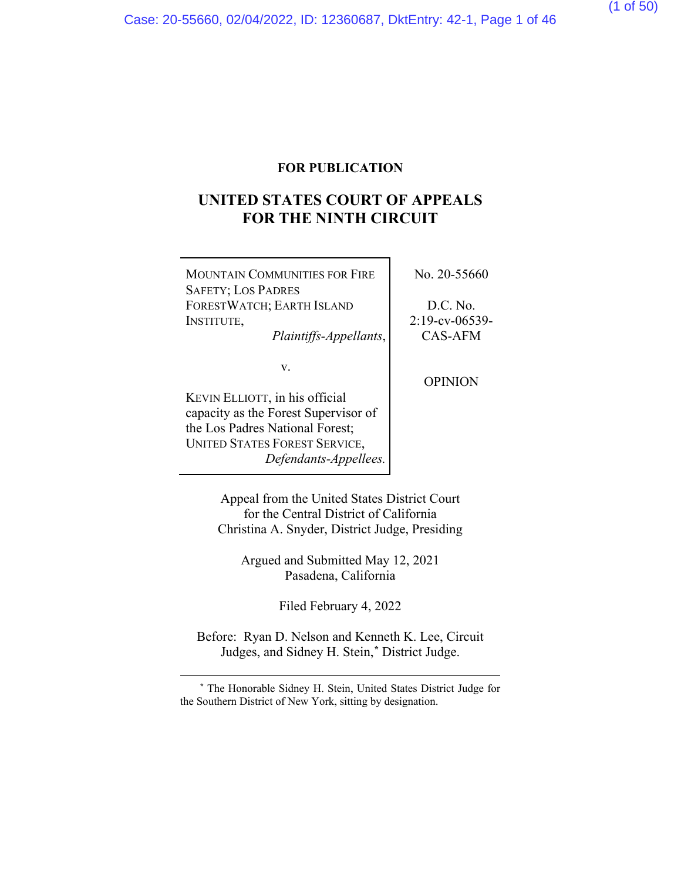(1 of 50)

## **FOR PUBLICATION**

## **UNITED STATES COURT OF APPEALS FOR THE NINTH CIRCUIT**

| <b>MOUNTAIN COMMUNITIES FOR FIRE</b>                   | No. 20-55660      |
|--------------------------------------------------------|-------------------|
| <b>SAFETY; LOS PADRES</b><br>FORESTWATCH; EARTH ISLAND | D.C. No.          |
| INSTITUTE,                                             | $2:19$ -cv-06539- |
| Plaintiffs-Appellants,                                 | CAS-AFM           |
| V.                                                     |                   |
|                                                        | <b>OPINION</b>    |
| KEVIN ELLIOTT, in his official                         |                   |
| capacity as the Forest Supervisor of                   |                   |
| the Los Padres National Forest;                        |                   |
| <b>UNITED STATES FOREST SERVICE,</b>                   |                   |
| Defendants-Appellees.                                  |                   |

Appeal from the United States District Court for the Central District of California Christina A. Snyder, District Judge, Presiding

Argued and Submitted May 12, 2021 Pasadena, California

Filed February 4, 2022

Before: Ryan D. Nelson and Kenneth K. Lee, Circuit Judges, and Sidney H. Stein,**[\\*](#page-37-0)** District Judge.

**<sup>\*</sup>** The Honorable Sidney H. Stein, United States District Judge for the Southern District of New York, sitting by designation.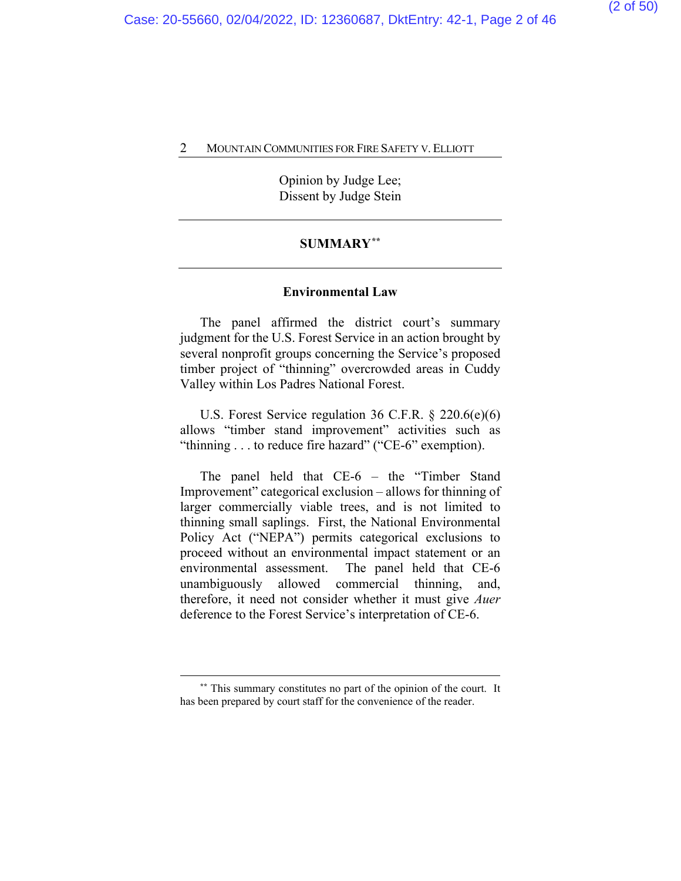Opinion by Judge Lee; Dissent by Judge Stein

## **SUMMARY[\\*\\*](#page-37-0)**

#### **Environmental Law**

The panel affirmed the district court's summary judgment for the U.S. Forest Service in an action brought by several nonprofit groups concerning the Service's proposed timber project of "thinning" overcrowded areas in Cuddy Valley within Los Padres National Forest.

U.S. Forest Service regulation 36 C.F.R. § 220.6(e)(6) allows "timber stand improvement" activities such as "thinning . . . to reduce fire hazard" ("CE-6" exemption).

The panel held that CE-6 – the "Timber Stand Improvement" categorical exclusion – allows for thinning of larger commercially viable trees, and is not limited to thinning small saplings. First, the National Environmental Policy Act ("NEPA") permits categorical exclusions to proceed without an environmental impact statement or an environmental assessment. The panel held that CE-6 unambiguously allowed commercial thinning, and, therefore, it need not consider whether it must give *Auer* deference to the Forest Service's interpretation of CE-6.

**<sup>\*\*</sup>** This summary constitutes no part of the opinion of the court. It has been prepared by court staff for the convenience of the reader.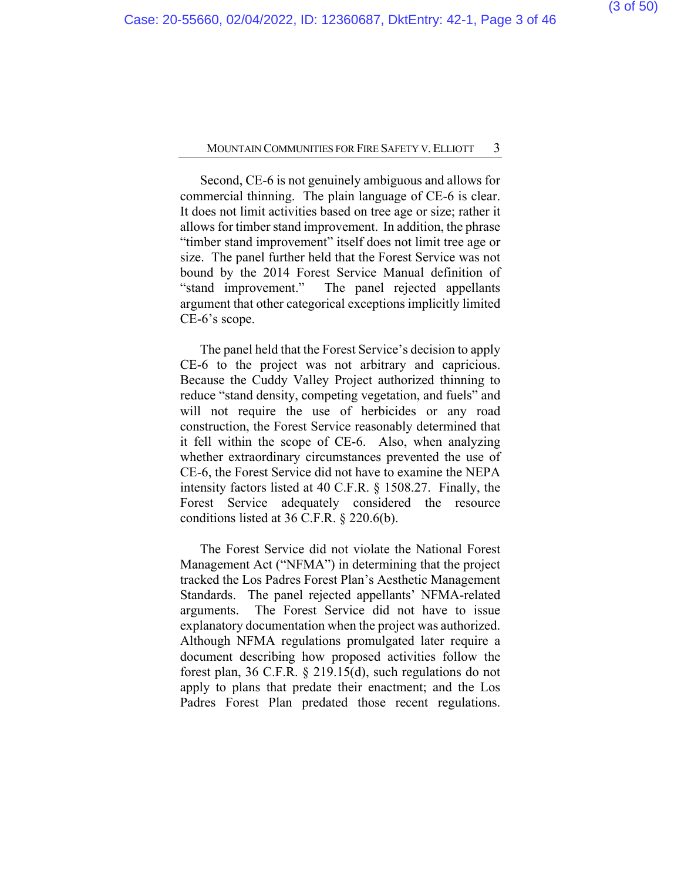Second, CE-6 is not genuinely ambiguous and allows for commercial thinning. The plain language of CE-6 is clear. It does not limit activities based on tree age or size; rather it allows for timber stand improvement. In addition, the phrase "timber stand improvement" itself does not limit tree age or size. The panel further held that the Forest Service was not bound by the 2014 Forest Service Manual definition of "stand improvement." The panel rejected appellants argument that other categorical exceptions implicitly limited CE-6's scope.

The panel held that the Forest Service's decision to apply CE-6 to the project was not arbitrary and capricious. Because the Cuddy Valley Project authorized thinning to reduce "stand density, competing vegetation, and fuels" and will not require the use of herbicides or any road construction, the Forest Service reasonably determined that it fell within the scope of CE-6. Also, when analyzing whether extraordinary circumstances prevented the use of CE-6, the Forest Service did not have to examine the NEPA intensity factors listed at 40 C.F.R. § 1508.27. Finally, the Forest Service adequately considered the resource conditions listed at 36 C.F.R. § 220.6(b).

The Forest Service did not violate the National Forest Management Act ("NFMA") in determining that the project tracked the Los Padres Forest Plan's Aesthetic Management Standards. The panel rejected appellants' NFMA-related arguments. The Forest Service did not have to issue explanatory documentation when the project was authorized. Although NFMA regulations promulgated later require a document describing how proposed activities follow the forest plan, 36 C.F.R. § 219.15(d), such regulations do not apply to plans that predate their enactment; and the Los Padres Forest Plan predated those recent regulations.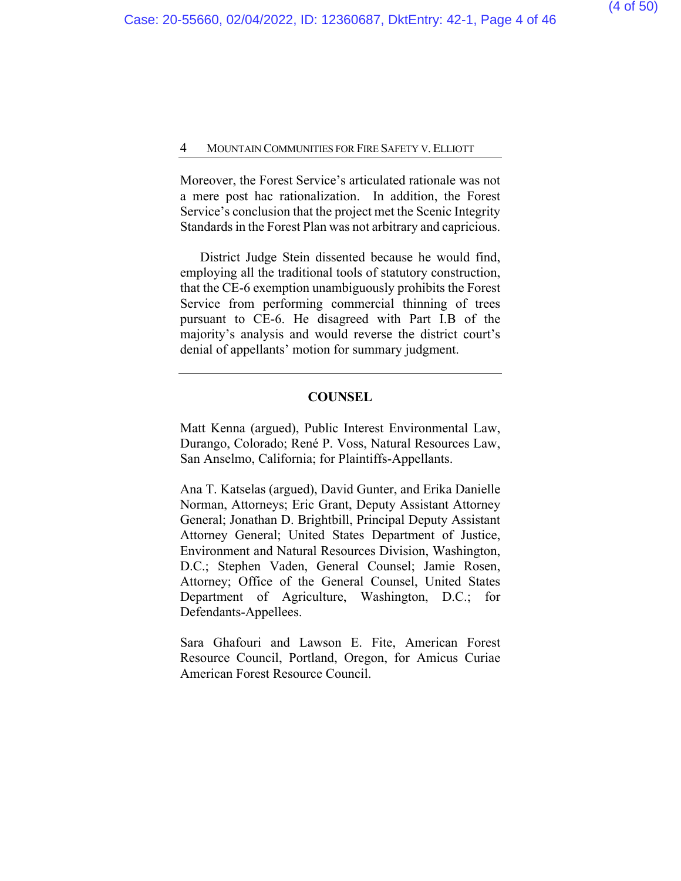Moreover, the Forest Service's articulated rationale was not a mere post hac rationalization. In addition, the Forest Service's conclusion that the project met the Scenic Integrity Standards in the Forest Plan was not arbitrary and capricious.

District Judge Stein dissented because he would find, employing all the traditional tools of statutory construction, that the CE-6 exemption unambiguously prohibits the Forest Service from performing commercial thinning of trees pursuant to CE-6. He disagreed with Part I.B of the majority's analysis and would reverse the district court's denial of appellants' motion for summary judgment.

## **COUNSEL**

Matt Kenna (argued), Public Interest Environmental Law, Durango, Colorado; René P. Voss, Natural Resources Law, San Anselmo, California; for Plaintiffs-Appellants.

Ana T. Katselas (argued), David Gunter, and Erika Danielle Norman, Attorneys; Eric Grant, Deputy Assistant Attorney General; Jonathan D. Brightbill, Principal Deputy Assistant Attorney General; United States Department of Justice, Environment and Natural Resources Division, Washington, D.C.; Stephen Vaden, General Counsel; Jamie Rosen, Attorney; Office of the General Counsel, United States Department of Agriculture, Washington, D.C.; for Defendants-Appellees.

Sara Ghafouri and Lawson E. Fite, American Forest Resource Council, Portland, Oregon, for Amicus Curiae American Forest Resource Council.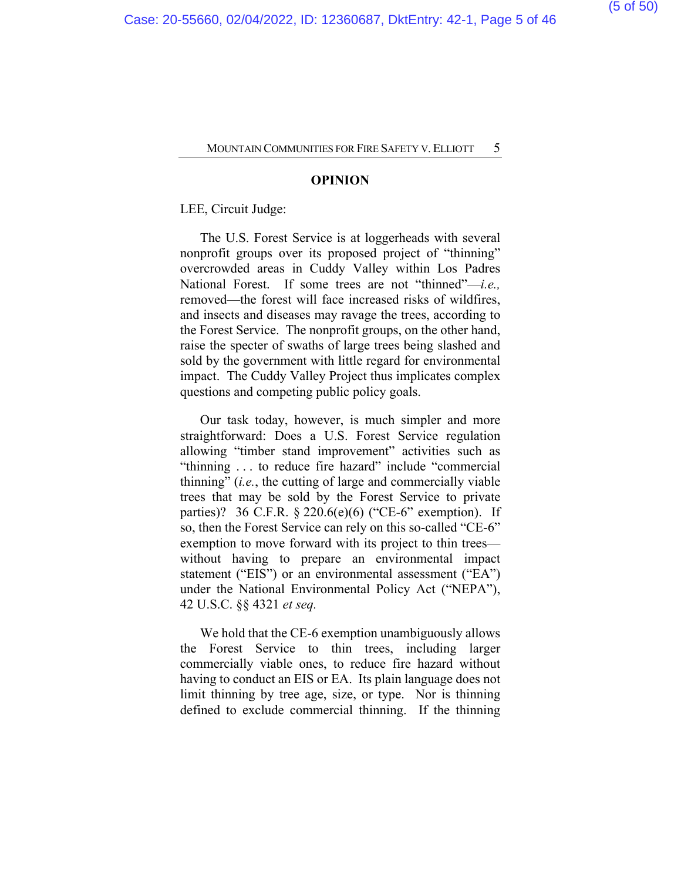#### **OPINION**

LEE, Circuit Judge:

The U.S. Forest Service is at loggerheads with several nonprofit groups over its proposed project of "thinning" overcrowded areas in Cuddy Valley within Los Padres National Forest. If some trees are not "thinned"—*i.e.,*  removed—the forest will face increased risks of wildfires, and insects and diseases may ravage the trees, according to the Forest Service. The nonprofit groups, on the other hand, raise the specter of swaths of large trees being slashed and sold by the government with little regard for environmental impact. The Cuddy Valley Project thus implicates complex questions and competing public policy goals.

Our task today, however, is much simpler and more straightforward: Does a U.S. Forest Service regulation allowing "timber stand improvement" activities such as "thinning ... to reduce fire hazard" include "commercial" thinning" (*i.e.*, the cutting of large and commercially viable trees that may be sold by the Forest Service to private parties)? 36 C.F.R.  $\S 220.6(e)$ (6) ("CE-6" exemption). If so, then the Forest Service can rely on this so-called "CE-6" exemption to move forward with its project to thin trees without having to prepare an environmental impact statement ("EIS") or an environmental assessment ("EA") under the National Environmental Policy Act ("NEPA"), 42 U.S.C. §§ 4321 *et seq.*

We hold that the CE-6 exemption unambiguously allows the Forest Service to thin trees, including larger commercially viable ones, to reduce fire hazard without having to conduct an EIS or EA. Its plain language does not limit thinning by tree age, size, or type. Nor is thinning defined to exclude commercial thinning. If the thinning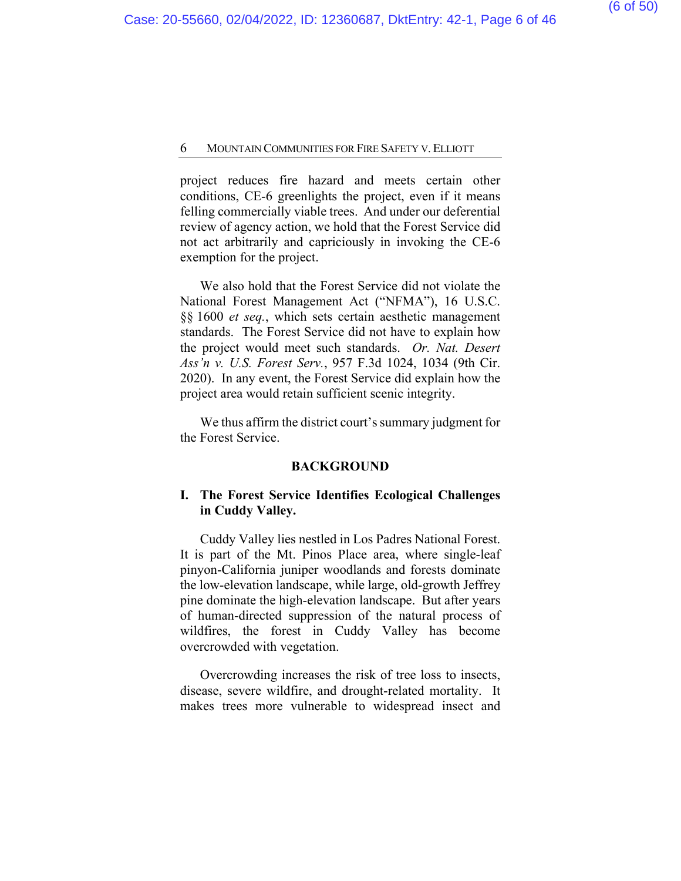project reduces fire hazard and meets certain other conditions, CE-6 greenlights the project, even if it means felling commercially viable trees. And under our deferential review of agency action, we hold that the Forest Service did not act arbitrarily and capriciously in invoking the CE-6 exemption for the project.

We also hold that the Forest Service did not violate the National Forest Management Act ("NFMA"), 16 U.S.C. §§ 1600 *et seq.*, which sets certain aesthetic management standards. The Forest Service did not have to explain how the project would meet such standards. *Or. Nat. Desert Ass'n v. U.S. Forest Serv.*, 957 F.3d 1024, 1034 (9th Cir. 2020). In any event, the Forest Service did explain how the project area would retain sufficient scenic integrity.

We thus affirm the district court's summary judgment for the Forest Service.

#### **BACKGROUND**

## **I. The Forest Service Identifies Ecological Challenges in Cuddy Valley.**

Cuddy Valley lies nestled in Los Padres National Forest. It is part of the Mt. Pinos Place area, where single-leaf pinyon-California juniper woodlands and forests dominate the low-elevation landscape, while large, old-growth Jeffrey pine dominate the high-elevation landscape. But after years of human-directed suppression of the natural process of wildfires, the forest in Cuddy Valley has become overcrowded with vegetation.

Overcrowding increases the risk of tree loss to insects, disease, severe wildfire, and drought-related mortality. It makes trees more vulnerable to widespread insect and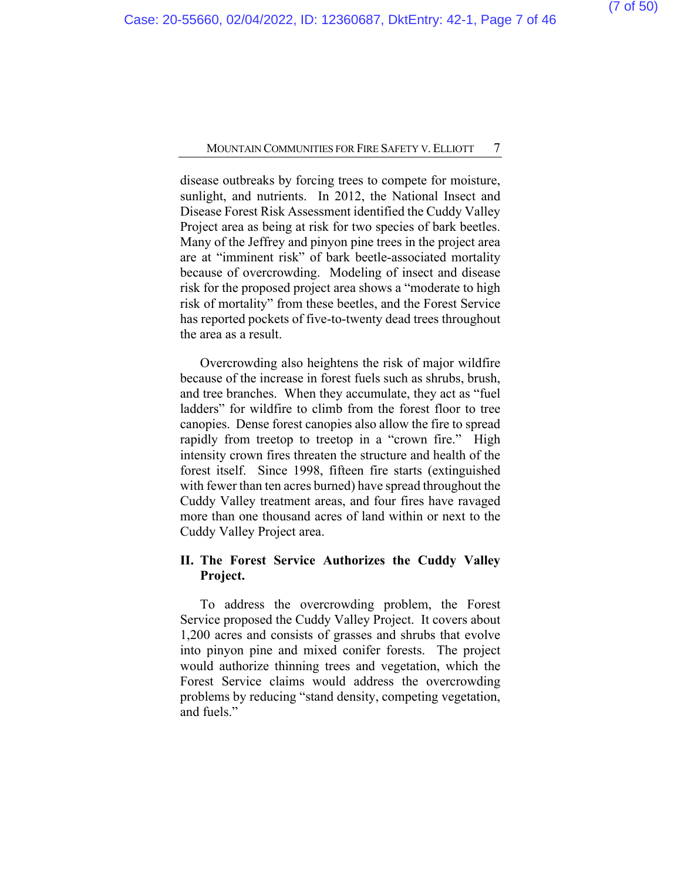disease outbreaks by forcing trees to compete for moisture, sunlight, and nutrients. In 2012, the National Insect and Disease Forest Risk Assessment identified the Cuddy Valley Project area as being at risk for two species of bark beetles. Many of the Jeffrey and pinyon pine trees in the project area are at "imminent risk" of bark beetle-associated mortality because of overcrowding. Modeling of insect and disease risk for the proposed project area shows a "moderate to high risk of mortality" from these beetles, and the Forest Service has reported pockets of five-to-twenty dead trees throughout the area as a result.

Overcrowding also heightens the risk of major wildfire because of the increase in forest fuels such as shrubs, brush, and tree branches. When they accumulate, they act as "fuel ladders" for wildfire to climb from the forest floor to tree canopies. Dense forest canopies also allow the fire to spread rapidly from treetop to treetop in a "crown fire." High intensity crown fires threaten the structure and health of the forest itself. Since 1998, fifteen fire starts (extinguished with fewer than ten acres burned) have spread throughout the Cuddy Valley treatment areas, and four fires have ravaged more than one thousand acres of land within or next to the Cuddy Valley Project area.

## **II. The Forest Service Authorizes the Cuddy Valley Project.**

To address the overcrowding problem, the Forest Service proposed the Cuddy Valley Project. It covers about 1,200 acres and consists of grasses and shrubs that evolve into pinyon pine and mixed conifer forests. The project would authorize thinning trees and vegetation, which the Forest Service claims would address the overcrowding problems by reducing "stand density, competing vegetation, and fuels."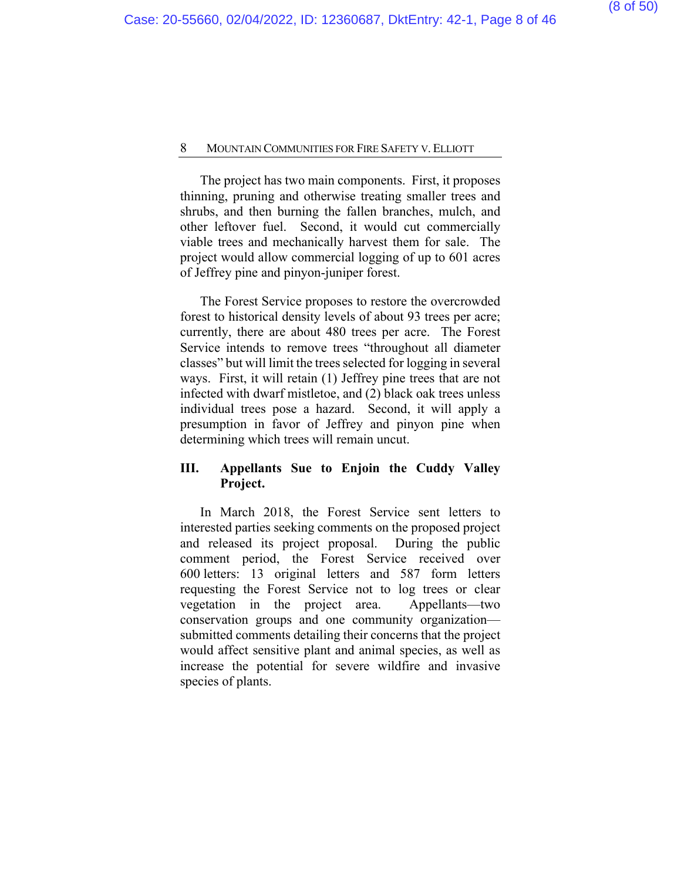The project has two main components. First, it proposes thinning, pruning and otherwise treating smaller trees and shrubs, and then burning the fallen branches, mulch, and other leftover fuel. Second, it would cut commercially viable trees and mechanically harvest them for sale. The project would allow commercial logging of up to 601 acres of Jeffrey pine and pinyon-juniper forest.

The Forest Service proposes to restore the overcrowded forest to historical density levels of about 93 trees per acre; currently, there are about 480 trees per acre. The Forest Service intends to remove trees "throughout all diameter classes" but will limit the trees selected for logging in several ways. First, it will retain (1) Jeffrey pine trees that are not infected with dwarf mistletoe, and (2) black oak trees unless individual trees pose a hazard. Second, it will apply a presumption in favor of Jeffrey and pinyon pine when determining which trees will remain uncut.

## **III. Appellants Sue to Enjoin the Cuddy Valley Project.**

In March 2018, the Forest Service sent letters to interested parties seeking comments on the proposed project and released its project proposal. During the public comment period, the Forest Service received over 600 letters: 13 original letters and 587 form letters requesting the Forest Service not to log trees or clear vegetation in the project area. Appellants—two conservation groups and one community organization submitted comments detailing their concerns that the project would affect sensitive plant and animal species, as well as increase the potential for severe wildfire and invasive species of plants.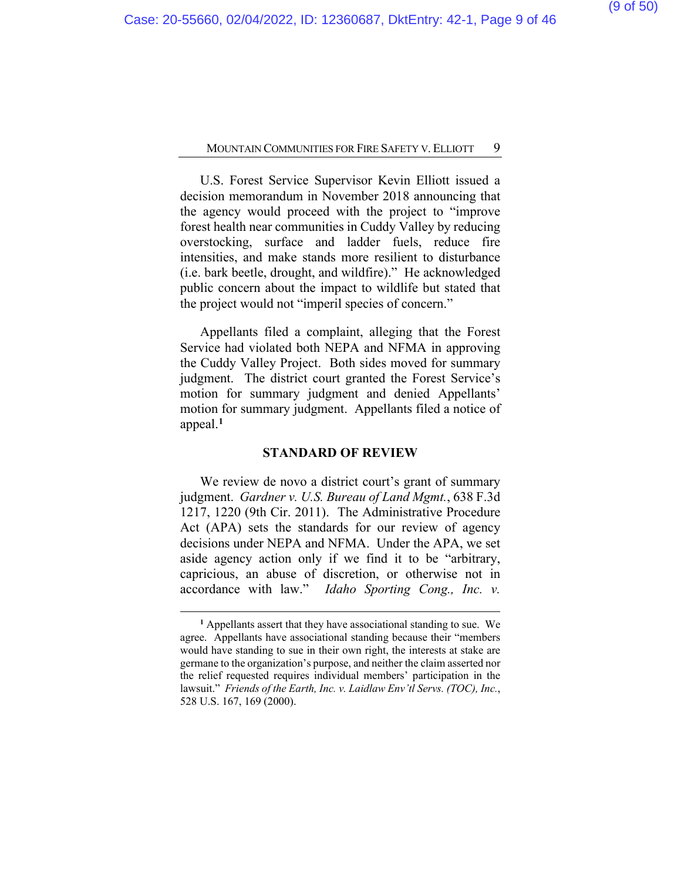U.S. Forest Service Supervisor Kevin Elliott issued a decision memorandum in November 2018 announcing that the agency would proceed with the project to "improve forest health near communities in Cuddy Valley by reducing overstocking, surface and ladder fuels, reduce fire intensities, and make stands more resilient to disturbance (i.e. bark beetle, drought, and wildfire)." He acknowledged public concern about the impact to wildlife but stated that the project would not "imperil species of concern."

Appellants filed a complaint, alleging that the Forest Service had violated both NEPA and NFMA in approving the Cuddy Valley Project. Both sides moved for summary judgment. The district court granted the Forest Service's motion for summary judgment and denied Appellants' motion for summary judgment. Appellants filed a notice of appeal. **[1](#page-37-0)**

#### **STANDARD OF REVIEW**

We review de novo a district court's grant of summary judgment. *Gardner v. U.S. Bureau of Land Mgmt.*, 638 F.3d 1217, 1220 (9th Cir. 2011). The Administrative Procedure Act (APA) sets the standards for our review of agency decisions under NEPA and NFMA. Under the APA, we set aside agency action only if we find it to be "arbitrary, capricious, an abuse of discretion, or otherwise not in accordance with law." *Idaho Sporting Cong., Inc. v.* 

**<sup>1</sup>** Appellants assert that they have associational standing to sue. We agree. Appellants have associational standing because their "members would have standing to sue in their own right, the interests at stake are germane to the organization's purpose, and neither the claim asserted nor the relief requested requires individual members' participation in the lawsuit." *Friends of the Earth, Inc. v. Laidlaw Env'tl Servs. (TOC), Inc.*, 528 U.S. 167, 169 (2000).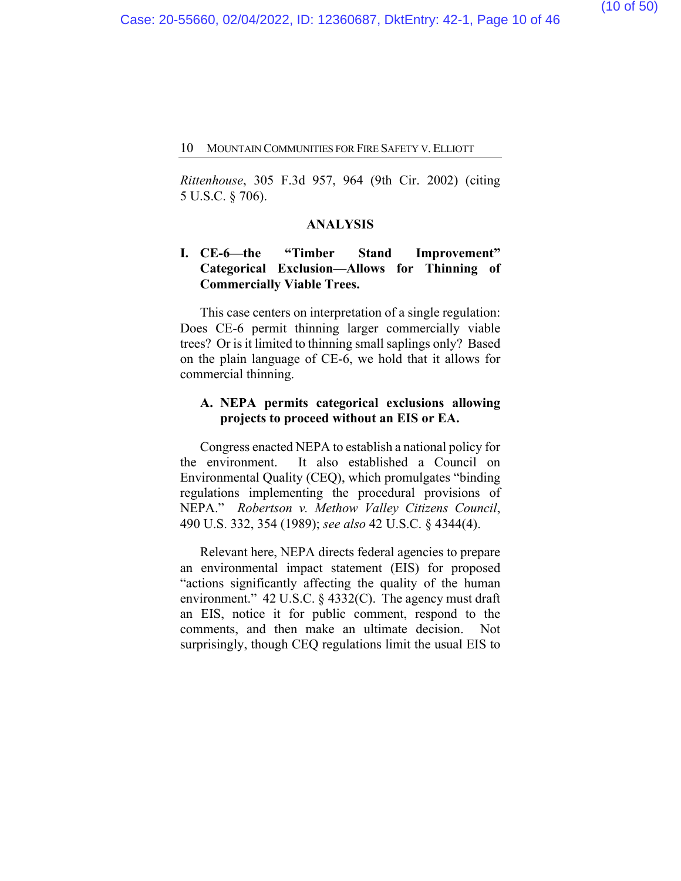*Rittenhouse*, 305 F.3d 957, 964 (9th Cir. 2002) (citing 5 U.S.C. § 706).

#### **ANALYSIS**

## **I. CE-6—the "Timber Stand Improvement" Categorical Exclusion—Allows for Thinning of Commercially Viable Trees.**

This case centers on interpretation of a single regulation: Does CE-6 permit thinning larger commercially viable trees? Or is it limited to thinning small saplings only? Based on the plain language of CE-6, we hold that it allows for commercial thinning.

## **A. NEPA permits categorical exclusions allowing projects to proceed without an EIS or EA.**

Congress enacted NEPA to establish a national policy for the environment. It also established a Council on Environmental Quality (CEQ), which promulgates "binding regulations implementing the procedural provisions of NEPA." *Robertson v. Methow Valley Citizens Council*, 490 U.S. 332, 354 (1989); *see also* 42 U.S.C. § 4344(4).

Relevant here, NEPA directs federal agencies to prepare an environmental impact statement (EIS) for proposed "actions significantly affecting the quality of the human environment." 42 U.S.C. § 4332(C). The agency must draft an EIS, notice it for public comment, respond to the comments, and then make an ultimate decision. Not surprisingly, though CEQ regulations limit the usual EIS to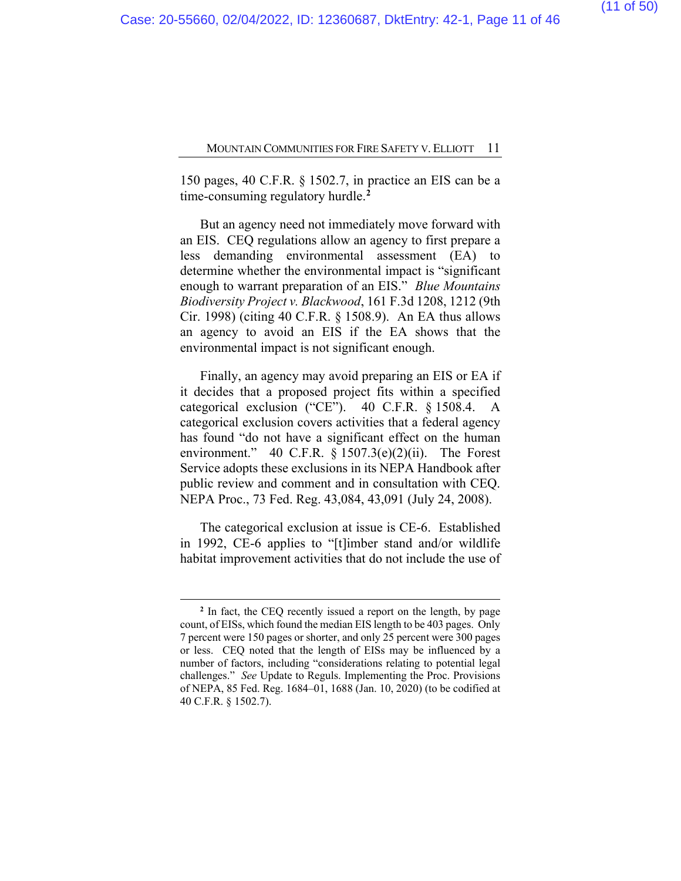150 pages, 40 C.F.R. § 1502.7, in practice an EIS can be a time-consuming regulatory hurdle.**[2](#page-37-0)**

But an agency need not immediately move forward with an EIS. CEQ regulations allow an agency to first prepare a less demanding environmental assessment (EA) to determine whether the environmental impact is "significant enough to warrant preparation of an EIS." *Blue Mountains Biodiversity Project v. Blackwood*, 161 F.3d 1208, 1212 (9th Cir. 1998) (citing 40 C.F.R. § 1508.9). An EA thus allows an agency to avoid an EIS if the EA shows that the environmental impact is not significant enough.

Finally, an agency may avoid preparing an EIS or EA if it decides that a proposed project fits within a specified categorical exclusion ("CE"). 40 C.F.R. § 1508.4. A categorical exclusion covers activities that a federal agency has found "do not have a significant effect on the human environment." 40 C.F.R. § 1507.3(e)(2)(ii). The Forest Service adopts these exclusions in its NEPA Handbook after public review and comment and in consultation with CEQ. NEPA Proc., 73 Fed. Reg. 43,084, 43,091 (July 24, 2008).

The categorical exclusion at issue is CE-6. Established in 1992, CE-6 applies to "[t]imber stand and/or wildlife habitat improvement activities that do not include the use of

**<sup>2</sup>** In fact, the CEQ recently issued a report on the length, by page count, of EISs, which found the median EIS length to be 403 pages. Only 7 percent were 150 pages or shorter, and only 25 percent were 300 pages or less. CEQ noted that the length of EISs may be influenced by a number of factors, including "considerations relating to potential legal challenges." *See* Update to Reguls. Implementing the Proc. Provisions of NEPA, 85 Fed. Reg. 1684–01, 1688 (Jan. 10, 2020) (to be codified at 40 C.F.R. § 1502.7).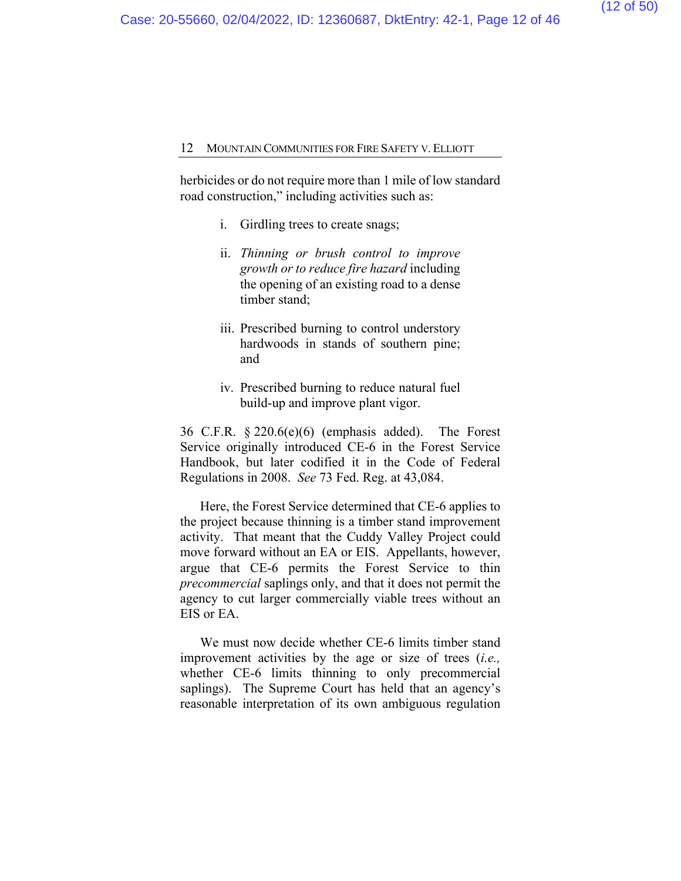herbicides or do not require more than 1 mile of low standard road construction," including activities such as:

- i. Girdling trees to create snags;
- ii. *Thinning or brush control to improve growth or to reduce fire hazard* including the opening of an existing road to a dense timber stand;
- iii. Prescribed burning to control understory hardwoods in stands of southern pine; and
- iv. Prescribed burning to reduce natural fuel build-up and improve plant vigor.

36 C.F.R. § 220.6(e)(6) (emphasis added). The Forest Service originally introduced CE-6 in the Forest Service Handbook, but later codified it in the Code of Federal Regulations in 2008. *See* 73 Fed. Reg. at 43,084.

Here, the Forest Service determined that CE-6 applies to the project because thinning is a timber stand improvement activity. That meant that the Cuddy Valley Project could move forward without an EA or EIS.Appellants, however, argue that CE-6 permits the Forest Service to thin *precommercial* saplings only, and that it does not permit the agency to cut larger commercially viable trees without an EIS or EA.

We must now decide whether CE-6 limits timber stand improvement activities by the age or size of trees (*i.e.,* whether CE-6 limits thinning to only precommercial saplings). The Supreme Court has held that an agency's reasonable interpretation of its own ambiguous regulation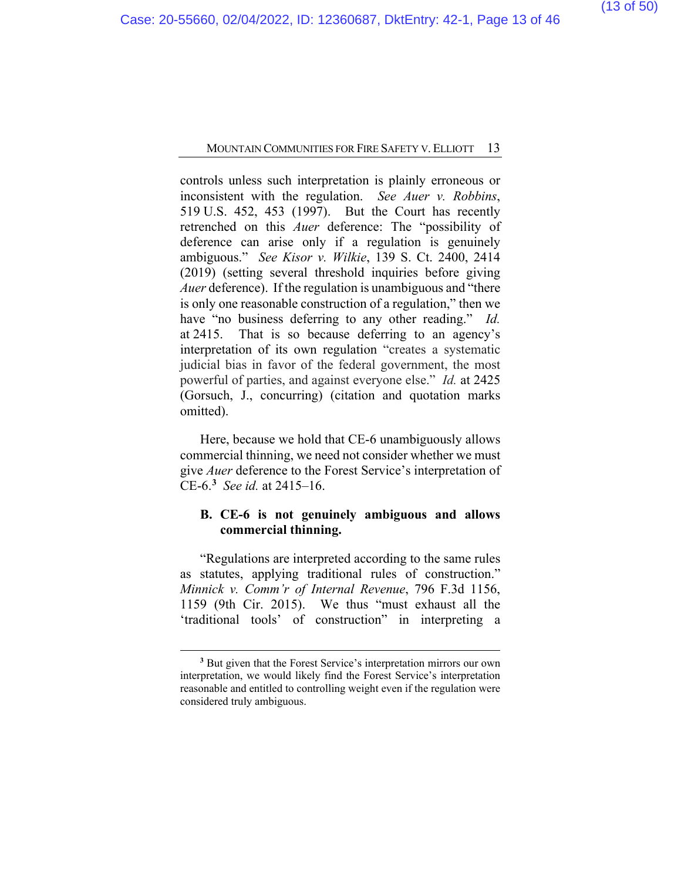controls unless such interpretation is plainly erroneous or inconsistent with the regulation. *See Auer v. Robbins*, 519 U.S. 452, 453 (1997). But the Court has recently retrenched on this *Auer* deference: The "possibility of deference can arise only if a regulation is genuinely ambiguous." *See Kisor v. Wilkie*, 139 S. Ct. 2400, 2414 (2019) (setting several threshold inquiries before giving *Auer* deference). If the regulation is unambiguous and "there is only one reasonable construction of a regulation," then we have "no business deferring to any other reading." *Id.* at 2415. That is so because deferring to an agency's interpretation of its own regulation "creates a systematic judicial bias in favor of the federal government, the most powerful of parties, and against everyone else." *Id.* at 2425 (Gorsuch, J., concurring) (citation and quotation marks omitted).

Here, because we hold that CE-6 unambiguously allows commercial thinning, we need not consider whether we must give *Auer* deference to the Forest Service's interpretation of CE-6.**[3](#page-37-0)** *See id.* at 2415–16.

## **B. CE-6 is not genuinely ambiguous and allows commercial thinning.**

"Regulations are interpreted according to the same rules as statutes, applying traditional rules of construction." *Minnick v. Comm'r of Internal Revenue*, 796 F.3d 1156, 1159 (9th Cir. 2015). We thus "must exhaust all the 'traditional tools' of construction" in interpreting a

**<sup>3</sup>** But given that the Forest Service's interpretation mirrors our own interpretation, we would likely find the Forest Service's interpretation reasonable and entitled to controlling weight even if the regulation were considered truly ambiguous.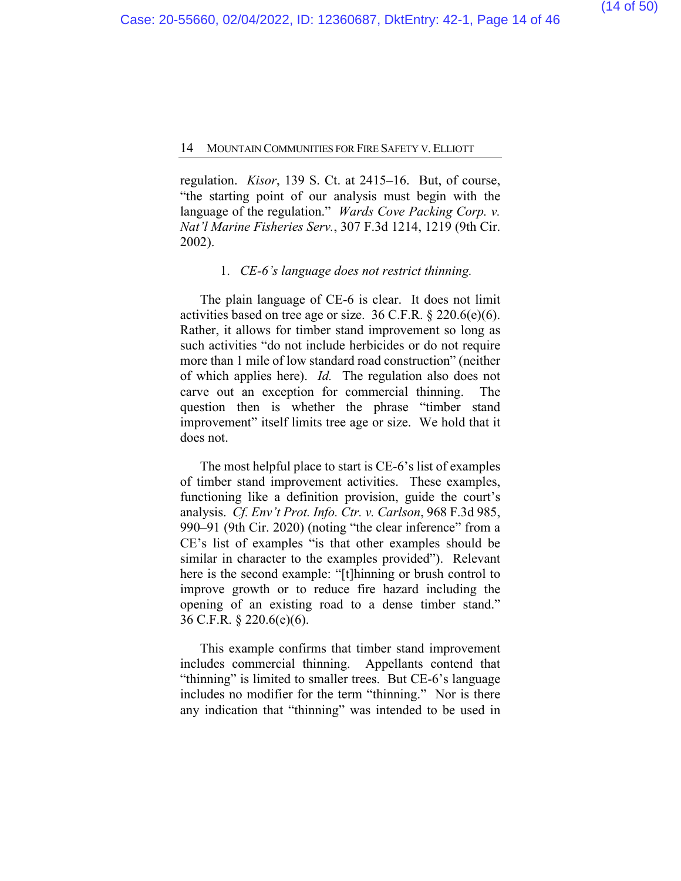regulation. *Kisor*, 139 S. Ct. at 2415**–**16. But, of course, "the starting point of our analysis must begin with the language of the regulation." *Wards Cove Packing Corp. v. Nat'l Marine Fisheries Serv.*, 307 F.3d 1214, 1219 (9th Cir. 2002).

#### 1. *CE-6's language does not restrict thinning.*

The plain language of CE-6 is clear. It does not limit activities based on tree age or size. 36 C.F.R. § 220.6(e)(6). Rather, it allows for timber stand improvement so long as such activities "do not include herbicides or do not require more than 1 mile of low standard road construction" (neither of which applies here). *Id.* The regulation also does not carve out an exception for commercial thinning. The question then is whether the phrase "timber stand improvement" itself limits tree age or size. We hold that it does not.

The most helpful place to start is CE-6's list of examples of timber stand improvement activities. These examples, functioning like a definition provision, guide the court's analysis. *Cf. Env't Prot. Info. Ctr. v. Carlson*, 968 F.3d 985, 990–91 (9th Cir. 2020) (noting "the clear inference" from a CE's list of examples "is that other examples should be similar in character to the examples provided"). Relevant here is the second example: "[t]hinning or brush control to improve growth or to reduce fire hazard including the opening of an existing road to a dense timber stand." 36 C.F.R. § 220.6(e)(6).

This example confirms that timber stand improvement includes commercial thinning. Appellants contend that "thinning" is limited to smaller trees. But CE-6's language includes no modifier for the term "thinning." Nor is there any indication that "thinning" was intended to be used in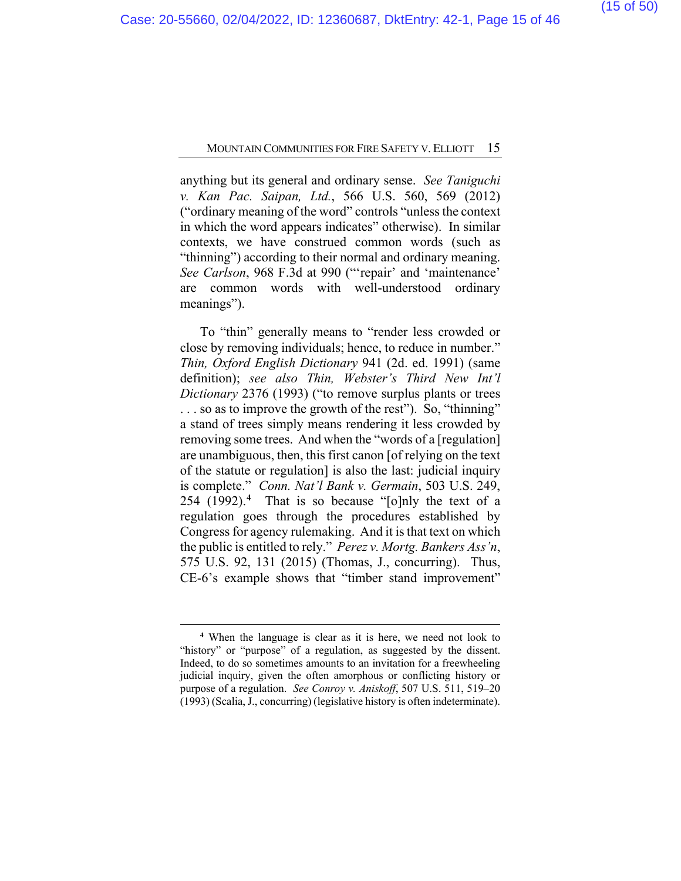anything but its general and ordinary sense. *See Taniguchi v. Kan Pac. Saipan, Ltd.*, 566 U.S. 560, 569 (2012) ("ordinary meaning of the word" controls "unless the context in which the word appears indicates" otherwise). In similar contexts, we have construed common words (such as "thinning") according to their normal and ordinary meaning. *See Carlson*, 968 F.3d at 990 ("'repair' and 'maintenance' are common words with well-understood ordinary meanings").

To "thin" generally means to "render less crowded or close by removing individuals; hence, to reduce in number." *Thin, Oxford English Dictionary* 941 (2d. ed. 1991) (same definition); *see also Thin, Webster's Third New Int'l Dictionary* 2376 (1993) ("to remove surplus plants or trees . . . so as to improve the growth of the rest"). So, "thinning" a stand of trees simply means rendering it less crowded by removing some trees. And when the "words of a [regulation] are unambiguous, then, this first canon [of relying on the text of the statute or regulation] is also the last: judicial inquiry is complete." *Conn. Nat'l Bank v. Germain*, 503 U.S. 249, 254 (1992).**[4](#page-37-0)** That is so because "[o]nly the text of a regulation goes through the procedures established by Congress for agency rulemaking. And it is that text on which the public is entitled to rely." *Perez v. Mortg. Bankers Ass'n*, 575 U.S. 92, 131 (2015) (Thomas, J., concurring). Thus, CE-6's example shows that "timber stand improvement"

**<sup>4</sup>** When the language is clear as it is here, we need not look to "history" or "purpose" of a regulation, as suggested by the dissent. Indeed, to do so sometimes amounts to an invitation for a freewheeling judicial inquiry, given the often amorphous or conflicting history or purpose of a regulation. *See Conroy v. Aniskoff*, 507 U.S. 511, 519–20 (1993) (Scalia, J., concurring) (legislative history is often indeterminate).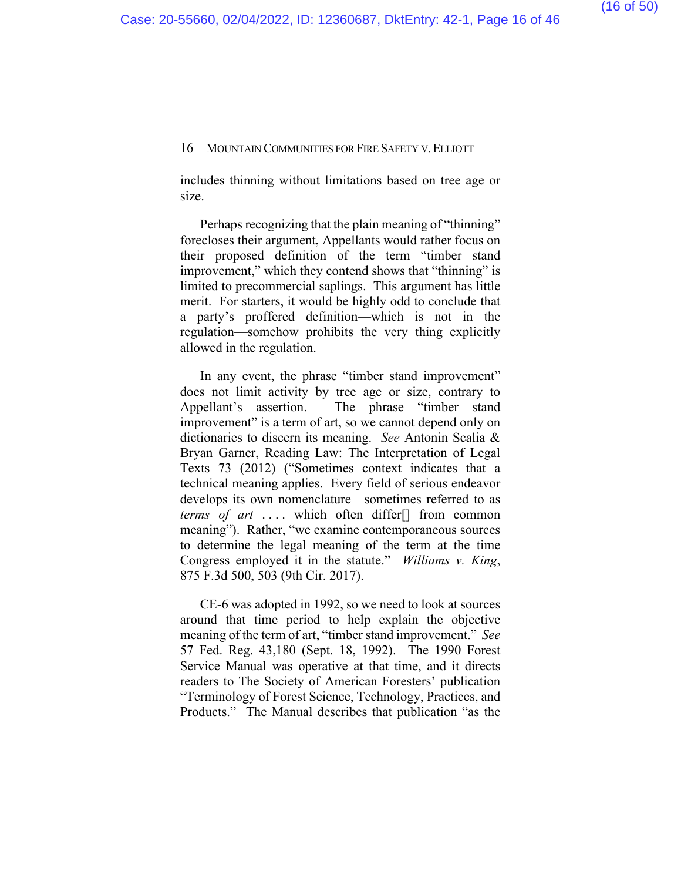includes thinning without limitations based on tree age or size.

Perhaps recognizing that the plain meaning of "thinning" forecloses their argument, Appellants would rather focus on their proposed definition of the term "timber stand improvement," which they contend shows that "thinning" is limited to precommercial saplings.This argument has little merit. For starters, it would be highly odd to conclude that a party's proffered definition—which is not in the regulation—somehow prohibits the very thing explicitly allowed in the regulation.

In any event, the phrase "timber stand improvement" does not limit activity by tree age or size, contrary to Appellant's assertion. The phrase "timber stand improvement" is a term of art, so we cannot depend only on dictionaries to discern its meaning. *See* Antonin Scalia & Bryan Garner, Reading Law: The Interpretation of Legal Texts 73 (2012) ("Sometimes context indicates that a technical meaning applies. Every field of serious endeavor develops its own nomenclature—sometimes referred to as *terms of art* .... which often differ<sup>[]</sup> from common meaning"). Rather, "we examine contemporaneous sources to determine the legal meaning of the term at the time Congress employed it in the statute." *Williams v. King*, 875 F.3d 500, 503 (9th Cir. 2017).

CE-6 was adopted in 1992, so we need to look at sources around that time period to help explain the objective meaning of the term of art, "timber stand improvement." *See*  57 Fed. Reg. 43,180 (Sept. 18, 1992). The 1990 Forest Service Manual was operative at that time, and it directs readers to The Society of American Foresters' publication "Terminology of Forest Science, Technology, Practices, and Products." The Manual describes that publication "as the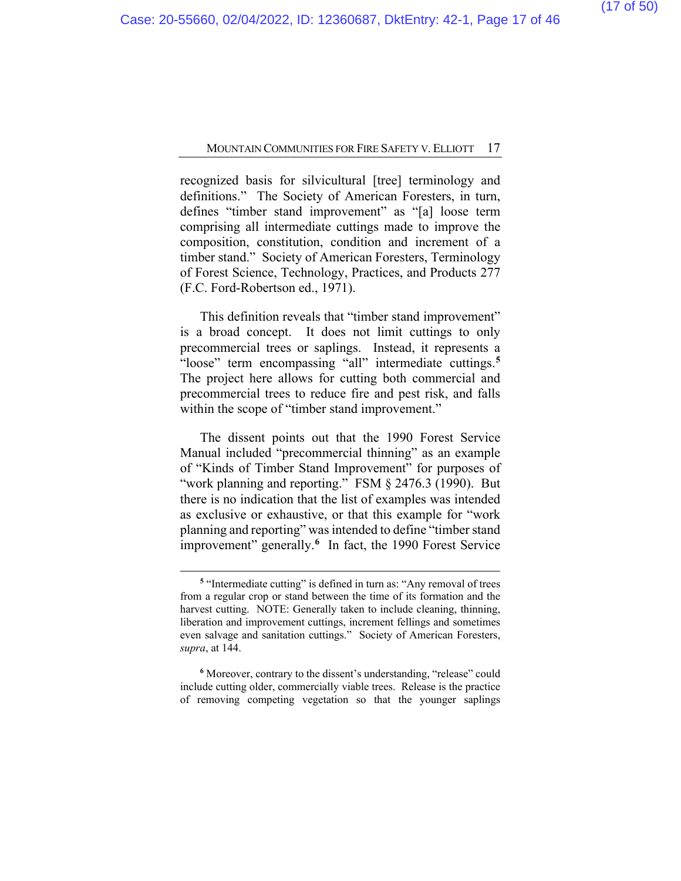recognized basis for silvicultural [tree] terminology and definitions."The Society of American Foresters, in turn, defines "timber stand improvement" as "[a] loose term comprising all intermediate cuttings made to improve the composition, constitution, condition and increment of a timber stand." Society of American Foresters, Terminology of Forest Science, Technology, Practices, and Products 277 (F.C. Ford-Robertson ed., 1971).

This definition reveals that "timber stand improvement" is a broad concept. It does not limit cuttings to only precommercial trees or saplings. Instead, it represents a "loose" term encompassing "all" intermediate cuttings.**[5](#page-37-0)** The project here allows for cutting both commercial and precommercial trees to reduce fire and pest risk, and falls within the scope of "timber stand improvement."

The dissent points out that the 1990 Forest Service Manual included "precommercial thinning" as an example of "Kinds of Timber Stand Improvement" for purposes of "work planning and reporting." FSM § 2476.3 (1990). But there is no indication that the list of examples was intended as exclusive or exhaustive, or that this example for "work planning and reporting" was intended to define "timber stand improvement" generally.**[6](#page-37-0)** In fact, the 1990 Forest Service

**<sup>5</sup>** "Intermediate cutting" is defined in turn as: "Any removal of trees from a regular crop or stand between the time of its formation and the harvest cutting. NOTE: Generally taken to include cleaning, thinning, liberation and improvement cuttings, increment fellings and sometimes even salvage and sanitation cuttings." Society of American Foresters, *supra*, at 144.

**<sup>6</sup>** Moreover, contrary to the dissent's understanding, "release" could include cutting older, commercially viable trees. Release is the practice of removing competing vegetation so that the younger saplings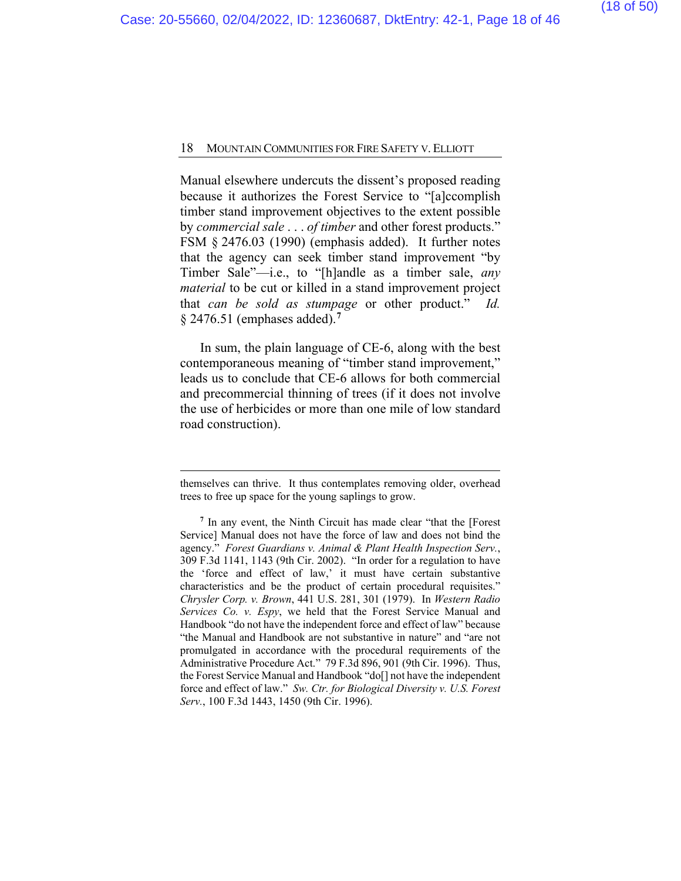Manual elsewhere undercuts the dissent's proposed reading because it authorizes the Forest Service to "[a]ccomplish timber stand improvement objectives to the extent possible by *commercial sale* . . . *of timber* and other forest products." FSM § 2476.03 (1990) (emphasis added). It further notes that the agency can seek timber stand improvement "by Timber Sale"—i.e., to "[h]andle as a timber sale, *any material* to be cut or killed in a stand improvement project that *can be sold as stumpage* or other product." *Id.* § 2476.51 (emphases added).**[7](#page-37-0)**

In sum, the plain language of CE-6, along with the best contemporaneous meaning of "timber stand improvement," leads us to conclude that CE-6 allows for both commercial and precommercial thinning of trees (if it does not involve the use of herbicides or more than one mile of low standard road construction).

themselves can thrive. It thus contemplates removing older, overhead trees to free up space for the young saplings to grow.

**<sup>7</sup>** In any event, the Ninth Circuit has made clear "that the [Forest Service] Manual does not have the force of law and does not bind the agency." *Forest Guardians v. Animal & Plant Health Inspection Serv.*, 309 F.3d 1141, 1143 (9th Cir. 2002). "In order for a regulation to have the 'force and effect of law,' it must have certain substantive characteristics and be the product of certain procedural requisites." *Chrysler Corp. v. Brown*, 441 U.S. 281, 301 (1979). In *Western Radio Services Co. v. Espy*, we held that the Forest Service Manual and Handbook "do not have the independent force and effect of law" because "the Manual and Handbook are not substantive in nature" and "are not promulgated in accordance with the procedural requirements of the Administrative Procedure Act." 79 F.3d 896, 901 (9th Cir. 1996). Thus, the Forest Service Manual and Handbook "do[] not have the independent force and effect of law." *Sw. Ctr. for Biological Diversity v. U.S. Forest Serv.*, 100 F.3d 1443, 1450 (9th Cir. 1996).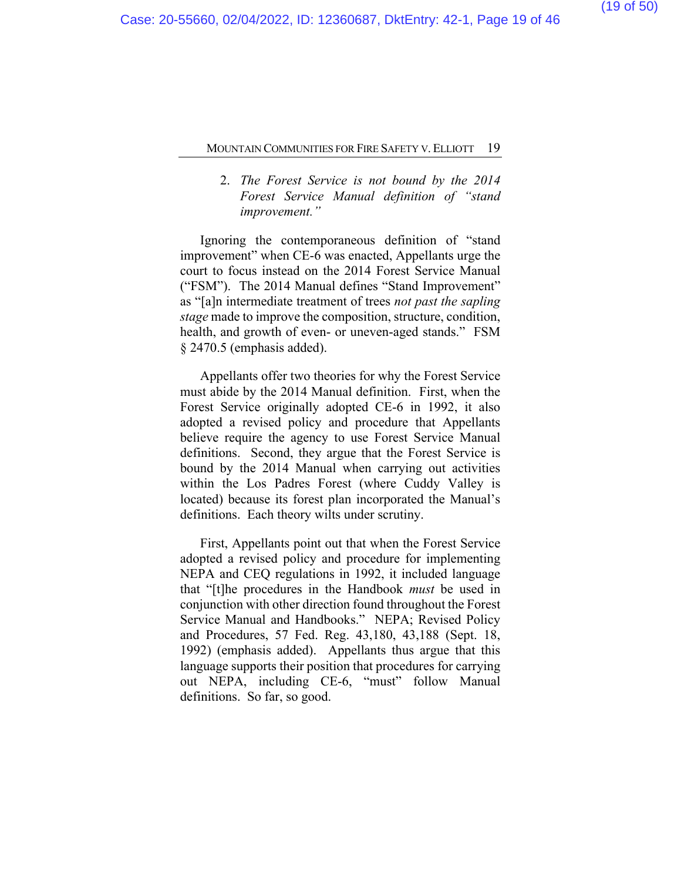## 2. *The Forest Service is not bound by the 2014 Forest Service Manual definition of "stand improvement."*

Ignoring the contemporaneous definition of "stand improvement" when CE-6 was enacted, Appellants urge the court to focus instead on the 2014 Forest Service Manual ("FSM"). The 2014 Manual defines "Stand Improvement" as "[a]n intermediate treatment of trees *not past the sapling stage* made to improve the composition, structure, condition, health, and growth of even- or uneven-aged stands." FSM § 2470.5 (emphasis added).

Appellants offer two theories for why the Forest Service must abide by the 2014 Manual definition. First, when the Forest Service originally adopted CE-6 in 1992, it also adopted a revised policy and procedure that Appellants believe require the agency to use Forest Service Manual definitions. Second, they argue that the Forest Service is bound by the 2014 Manual when carrying out activities within the Los Padres Forest (where Cuddy Valley is located) because its forest plan incorporated the Manual's definitions. Each theory wilts under scrutiny.

First, Appellants point out that when the Forest Service adopted a revised policy and procedure for implementing NEPA and CEQ regulations in 1992, it included language that "[t]he procedures in the Handbook *must* be used in conjunction with other direction found throughout the Forest Service Manual and Handbooks." NEPA; Revised Policy and Procedures, 57 Fed. Reg. 43,180, 43,188 (Sept. 18, 1992) (emphasis added). Appellants thus argue that this language supports their position that procedures for carrying out NEPA, including CE-6, "must" follow Manual definitions. So far, so good.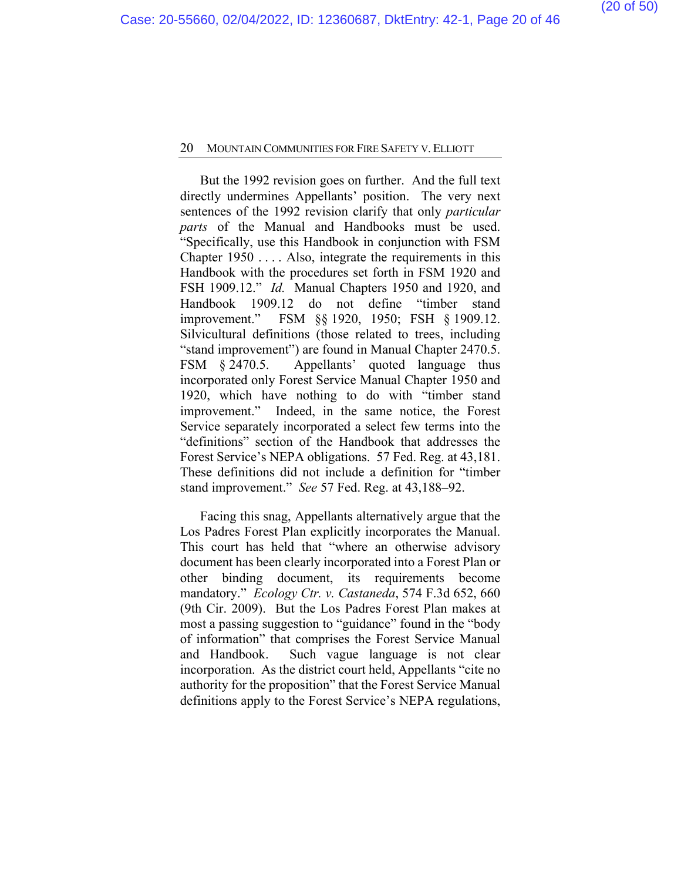But the 1992 revision goes on further. And the full text directly undermines Appellants' position. The very next sentences of the 1992 revision clarify that only *particular parts* of the Manual and Handbooks must be used. "Specifically, use this Handbook in conjunction with FSM Chapter 1950 . . . . Also, integrate the requirements in this Handbook with the procedures set forth in FSM 1920 and FSH 1909.12." *Id.* Manual Chapters 1950 and 1920, and Handbook 1909.12 do not define "timber stand improvement." FSM §§ 1920, 1950; FSH § 1909.12. Silvicultural definitions (those related to trees, including "stand improvement") are found in Manual Chapter 2470.5. FSM § 2470.5. Appellants' quoted language thus incorporated only Forest Service Manual Chapter 1950 and 1920, which have nothing to do with "timber stand improvement." Indeed, in the same notice, the Forest Service separately incorporated a select few terms into the "definitions" section of the Handbook that addresses the Forest Service's NEPA obligations. 57 Fed. Reg. at 43,181. These definitions did not include a definition for "timber stand improvement." *See* 57 Fed. Reg. at 43,188–92.

Facing this snag, Appellants alternatively argue that the Los Padres Forest Plan explicitly incorporates the Manual. This court has held that "where an otherwise advisory document has been clearly incorporated into a Forest Plan or other binding document, its requirements become mandatory." *Ecology Ctr. v. Castaneda*, 574 F.3d 652, 660 (9th Cir. 2009). But the Los Padres Forest Plan makes at most a passing suggestion to "guidance" found in the "body of information" that comprises the Forest Service Manual and Handbook. Such vague language is not clear incorporation. As the district court held, Appellants "cite no authority for the proposition" that the Forest Service Manual definitions apply to the Forest Service's NEPA regulations,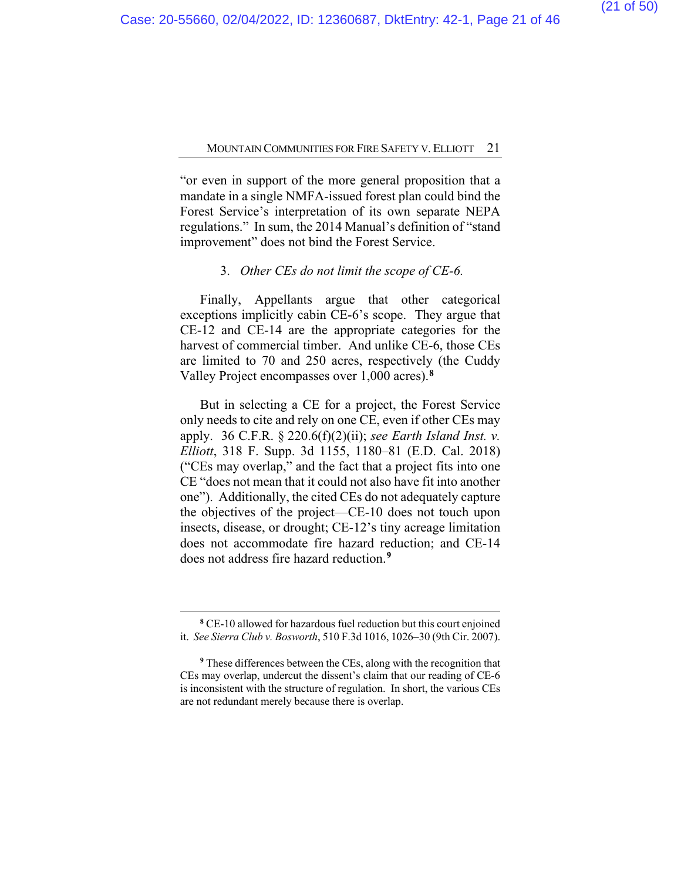"or even in support of the more general proposition that a mandate in a single NMFA-issued forest plan could bind the Forest Service's interpretation of its own separate NEPA regulations." In sum, the 2014 Manual's definition of "stand improvement" does not bind the Forest Service.

#### 3. *Other CEs do not limit the scope of CE-6.*

Finally, Appellants argue that other categorical exceptions implicitly cabin CE-6's scope. They argue that CE-12 and CE-14 are the appropriate categories for the harvest of commercial timber. And unlike CE-6, those CEs are limited to 70 and 250 acres, respectively (the Cuddy Valley Project encompasses over 1,000 acres).**[8](#page-37-0)**

But in selecting a CE for a project, the Forest Service only needs to cite and rely on one CE, even if other CEs may apply. 36 C.F.R. § 220.6(f)(2)(ii); *see Earth Island Inst. v. Elliott*, 318 F. Supp. 3d 1155, 1180–81 (E.D. Cal. 2018) ("CEs may overlap," and the fact that a project fits into one CE "does not mean that it could not also have fit into another one"). Additionally, the cited CEs do not adequately capture the objectives of the project—CE-10 does not touch upon insects, disease, or drought; CE-12's tiny acreage limitation does not accommodate fire hazard reduction; and CE-14 does not address fire hazard reduction.**[9](#page-37-0)**

**<sup>8</sup>** CE-10 allowed for hazardous fuel reduction but this court enjoined it. *See Sierra Club v. Bosworth*, 510 F.3d 1016, 1026–30 (9th Cir. 2007).

**<sup>9</sup>** These differences between the CEs, along with the recognition that CEs may overlap, undercut the dissent's claim that our reading of CE-6 is inconsistent with the structure of regulation. In short, the various CEs are not redundant merely because there is overlap.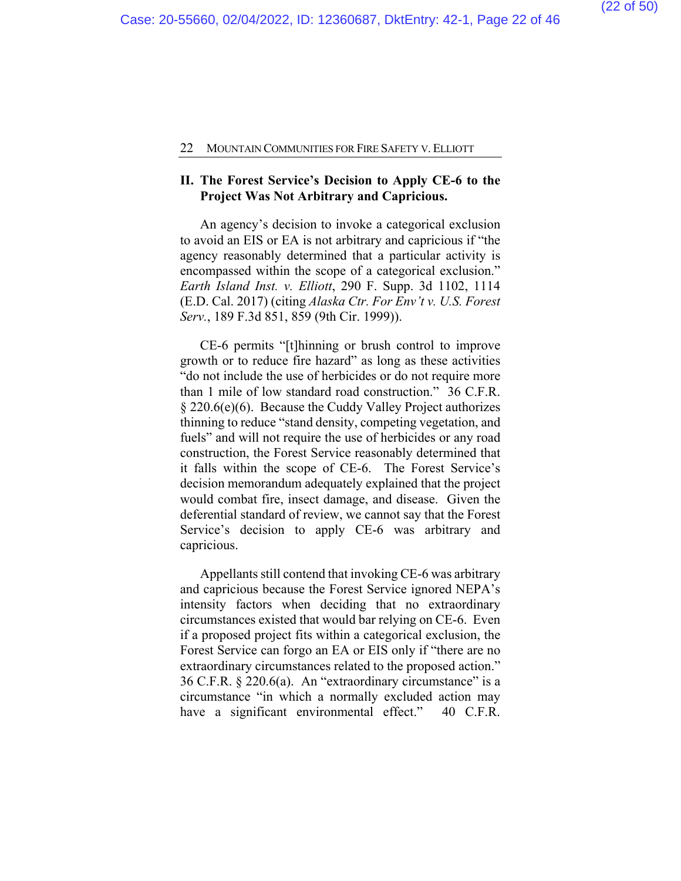#### **II. The Forest Service's Decision to Apply CE-6 to the Project Was Not Arbitrary and Capricious.**

An agency's decision to invoke a categorical exclusion to avoid an EIS or EA is not arbitrary and capricious if "the agency reasonably determined that a particular activity is encompassed within the scope of a categorical exclusion." *Earth Island Inst. v. Elliott*, 290 F. Supp. 3d 1102, 1114 (E.D. Cal. 2017) (citing *Alaska Ctr. For Env't v. U.S. Forest Serv.*, 189 F.3d 851, 859 (9th Cir. 1999)).

CE-6 permits "[t]hinning or brush control to improve growth or to reduce fire hazard" as long as these activities "do not include the use of herbicides or do not require more than 1 mile of low standard road construction." 36 C.F.R. § 220.6(e)(6). Because the Cuddy Valley Project authorizes thinning to reduce "stand density, competing vegetation, and fuels" and will not require the use of herbicides or any road construction, the Forest Service reasonably determined that it falls within the scope of CE-6. The Forest Service's decision memorandum adequately explained that the project would combat fire, insect damage, and disease. Given the deferential standard of review, we cannot say that the Forest Service's decision to apply CE-6 was arbitrary and capricious.

Appellants still contend that invoking CE-6 was arbitrary and capricious because the Forest Service ignored NEPA's intensity factors when deciding that no extraordinary circumstances existed that would bar relying on CE-6. Even if a proposed project fits within a categorical exclusion, the Forest Service can forgo an EA or EIS only if "there are no extraordinary circumstances related to the proposed action." 36 C.F.R.  $\S 220.6(a)$ . An "extraordinary circumstance" is a circumstance "in which a normally excluded action may have a significant environmental effect." 40 C.F.R.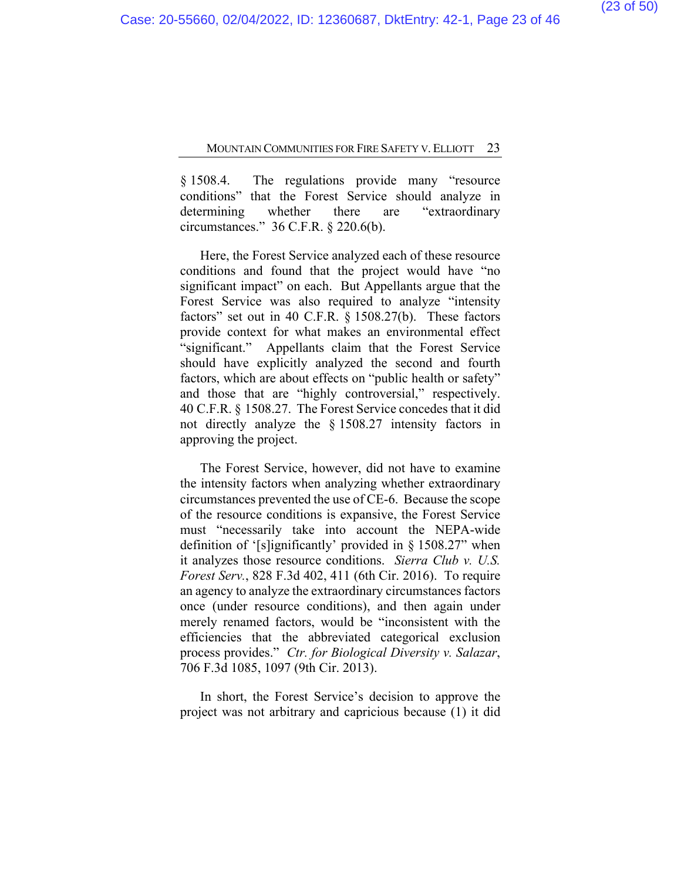§ 1508.4. The regulations provide many "resource conditions" that the Forest Service should analyze in determining whether there are "extraordinary circumstances." 36 C.F.R. § 220.6(b).

Here, the Forest Service analyzed each of these resource conditions and found that the project would have "no significant impact" on each. But Appellants argue that the Forest Service was also required to analyze "intensity factors" set out in 40 C.F.R. § 1508.27(b). These factors provide context for what makes an environmental effect "significant." Appellants claim that the Forest Service should have explicitly analyzed the second and fourth factors, which are about effects on "public health or safety" and those that are "highly controversial," respectively. 40 C.F.R. § 1508.27. The Forest Service concedes that it did not directly analyze the § 1508.27 intensity factors in approving the project.

The Forest Service, however, did not have to examine the intensity factors when analyzing whether extraordinary circumstances prevented the use of CE-6. Because the scope of the resource conditions is expansive, the Forest Service must "necessarily take into account the NEPA-wide definition of '[s]ignificantly' provided in § 1508.27" when it analyzes those resource conditions. *Sierra Club v. U.S. Forest Serv.*, 828 F.3d 402, 411 (6th Cir. 2016). To require an agency to analyze the extraordinary circumstances factors once (under resource conditions), and then again under merely renamed factors, would be "inconsistent with the efficiencies that the abbreviated categorical exclusion process provides." *Ctr. for Biological Diversity v. Salazar*, 706 F.3d 1085, 1097 (9th Cir. 2013).

In short, the Forest Service's decision to approve the project was not arbitrary and capricious because (1) it did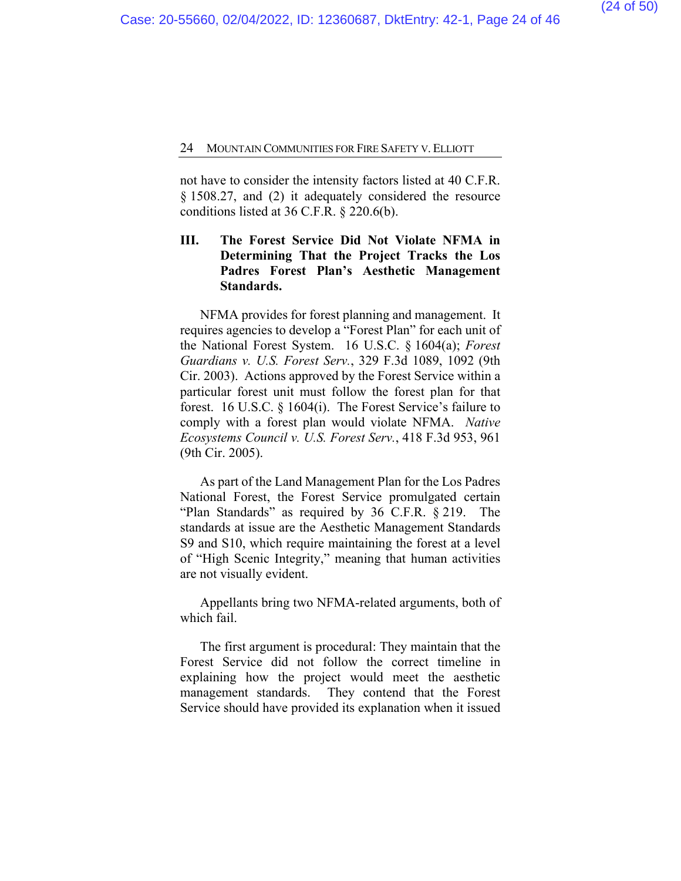not have to consider the intensity factors listed at 40 C.F.R. § 1508.27, and (2) it adequately considered the resource conditions listed at 36 C.F.R. § 220.6(b).

## **III. The Forest Service Did Not Violate NFMA in Determining That the Project Tracks the Los Padres Forest Plan's Aesthetic Management Standards.**

NFMA provides for forest planning and management. It requires agencies to develop a "Forest Plan" for each unit of the National Forest System. 16 U.S.C. § 1604(a); *Forest Guardians v. U.S. Forest Serv.*, 329 F.3d 1089, 1092 (9th Cir. 2003). Actions approved by the Forest Service within a particular forest unit must follow the forest plan for that forest. 16 U.S.C. § 1604(i). The Forest Service's failure to comply with a forest plan would violate NFMA. *Native Ecosystems Council v. U.S. Forest Serv.*, 418 F.3d 953, 961 (9th Cir. 2005).

As part of the Land Management Plan for the Los Padres National Forest, the Forest Service promulgated certain "Plan Standards" as required by 36 C.F.R. § 219. The standards at issue are the Aesthetic Management Standards S9 and S10, which require maintaining the forest at a level of "High Scenic Integrity," meaning that human activities are not visually evident.

Appellants bring two NFMA-related arguments, both of which fail.

The first argument is procedural: They maintain that the Forest Service did not follow the correct timeline in explaining how the project would meet the aesthetic management standards. They contend that the Forest Service should have provided its explanation when it issued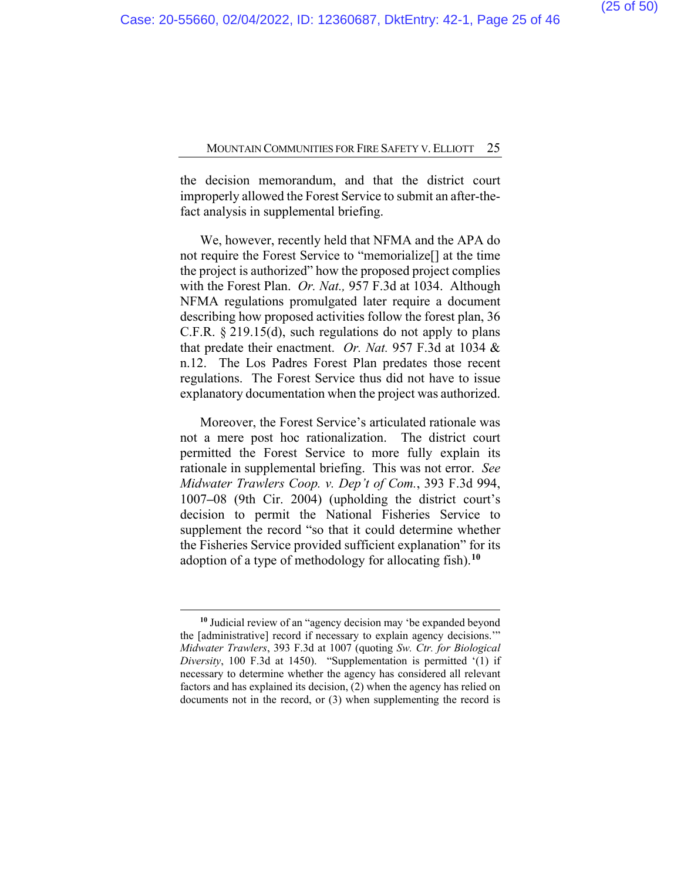the decision memorandum, and that the district court improperly allowed the Forest Service to submit an after-thefact analysis in supplemental briefing.

We, however, recently held that NFMA and the APA do not require the Forest Service to "memorialize[] at the time the project is authorized" how the proposed project complies with the Forest Plan. *Or. Nat.,* 957 F.3d at 1034. Although NFMA regulations promulgated later require a document describing how proposed activities follow the forest plan, 36 C.F.R. § 219.15(d), such regulations do not apply to plans that predate their enactment. *Or. Nat.* 957 F.3d at 1034 & n.12. The Los Padres Forest Plan predates those recent regulations. The Forest Service thus did not have to issue explanatory documentation when the project was authorized.

Moreover, the Forest Service's articulated rationale was not a mere post hoc rationalization. The district court permitted the Forest Service to more fully explain its rationale in supplemental briefing. This was not error. *See Midwater Trawlers Coop. v. Dep't of Com.*, 393 F.3d 994, 1007**–**08 (9th Cir. 2004) (upholding the district court's decision to permit the National Fisheries Service to supplement the record "so that it could determine whether the Fisheries Service provided sufficient explanation" for its adoption of a type of methodology for allocating fish).**[10](#page-37-0)**

**<sup>10</sup>** Judicial review of an "agency decision may 'be expanded beyond the [administrative] record if necessary to explain agency decisions.'" *Midwater Trawlers*, 393 F.3d at 1007 (quoting *Sw. Ctr. for Biological Diversity*, 100 F.3d at 1450). "Supplementation is permitted '(1) if necessary to determine whether the agency has considered all relevant factors and has explained its decision, (2) when the agency has relied on documents not in the record, or (3) when supplementing the record is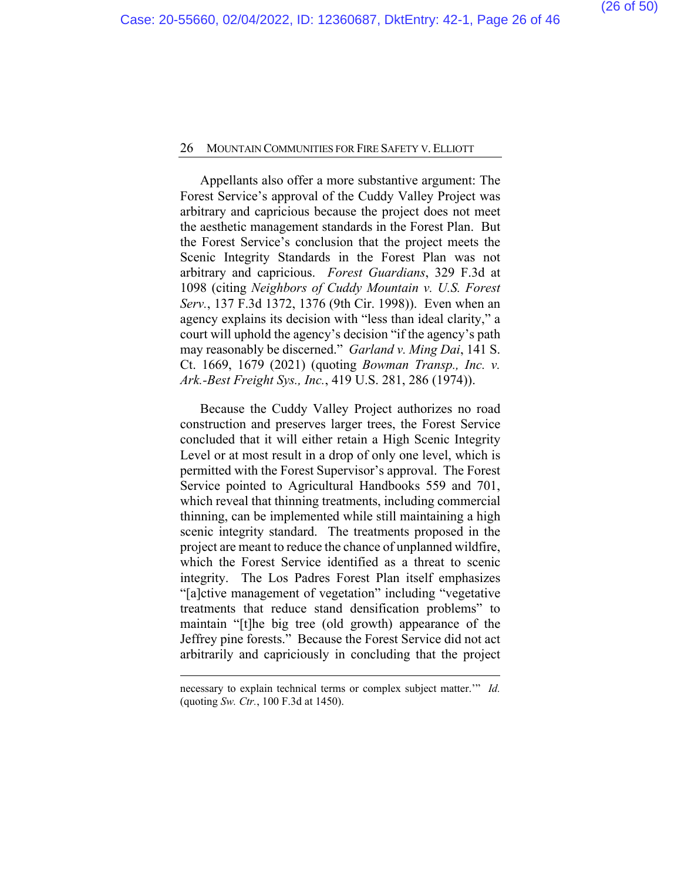Appellants also offer a more substantive argument: The Forest Service's approval of the Cuddy Valley Project was arbitrary and capricious because the project does not meet the aesthetic management standards in the Forest Plan. But the Forest Service's conclusion that the project meets the Scenic Integrity Standards in the Forest Plan was not arbitrary and capricious. *Forest Guardians*, 329 F.3d at 1098 (citing *Neighbors of Cuddy Mountain v. U.S. Forest Serv.*, 137 F.3d 1372, 1376 (9th Cir. 1998)). Even when an agency explains its decision with "less than ideal clarity," a court will uphold the agency's decision "if the agency's path may reasonably be discerned." *Garland v. Ming Dai*, 141 S. Ct. 1669, 1679 (2021) (quoting *Bowman Transp., Inc. v. Ark.-Best Freight Sys., Inc.*, 419 U.S. 281, 286 (1974)).

Because the Cuddy Valley Project authorizes no road construction and preserves larger trees, the Forest Service concluded that it will either retain a High Scenic Integrity Level or at most result in a drop of only one level, which is permitted with the Forest Supervisor's approval. The Forest Service pointed to Agricultural Handbooks 559 and 701, which reveal that thinning treatments, including commercial thinning, can be implemented while still maintaining a high scenic integrity standard. The treatments proposed in the project are meant to reduce the chance of unplanned wildfire, which the Forest Service identified as a threat to scenic integrity. The Los Padres Forest Plan itself emphasizes "[a]ctive management of vegetation" including "vegetative treatments that reduce stand densification problems" to maintain "[t]he big tree (old growth) appearance of the Jeffrey pine forests." Because the Forest Service did not act arbitrarily and capriciously in concluding that the project

necessary to explain technical terms or complex subject matter.'" *Id.*  (quoting *Sw. Ctr.*, 100 F.3d at 1450).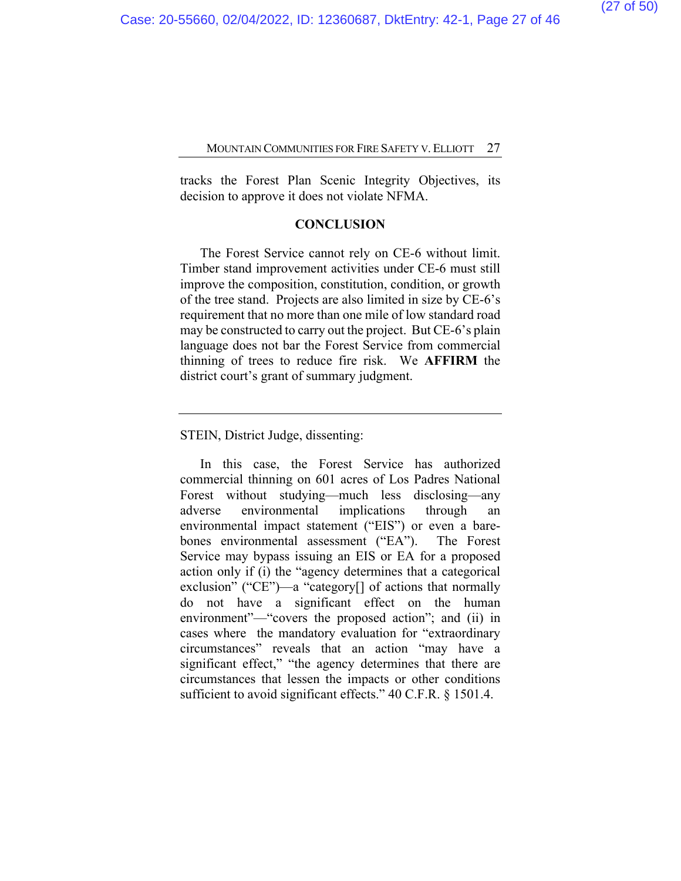tracks the Forest Plan Scenic Integrity Objectives, its decision to approve it does not violate NFMA.

#### **CONCLUSION**

The Forest Service cannot rely on CE-6 without limit. Timber stand improvement activities under CE-6 must still improve the composition, constitution, condition, or growth of the tree stand. Projects are also limited in size by CE-6's requirement that no more than one mile of low standard road may be constructed to carry out the project. But CE-6's plain language does not bar the Forest Service from commercial thinning of trees to reduce fire risk. We **AFFIRM** the district court's grant of summary judgment.

STEIN, District Judge, dissenting:

In this case, the Forest Service has authorized commercial thinning on 601 acres of Los Padres National Forest without studying—much less disclosing—any adverse environmental implications through an environmental impact statement ("EIS") or even a barebones environmental assessment ("EA"). The Forest Service may bypass issuing an EIS or EA for a proposed action only if (i) the "agency determines that a categorical exclusion" ("CE")—a "category[] of actions that normally do not have a significant effect on the human environment"—"covers the proposed action"; and (ii) in cases where the mandatory evaluation for "extraordinary circumstances" reveals that an action "may have a significant effect," "the agency determines that there are circumstances that lessen the impacts or other conditions sufficient to avoid significant effects." 40 C.F.R. § 1501.4.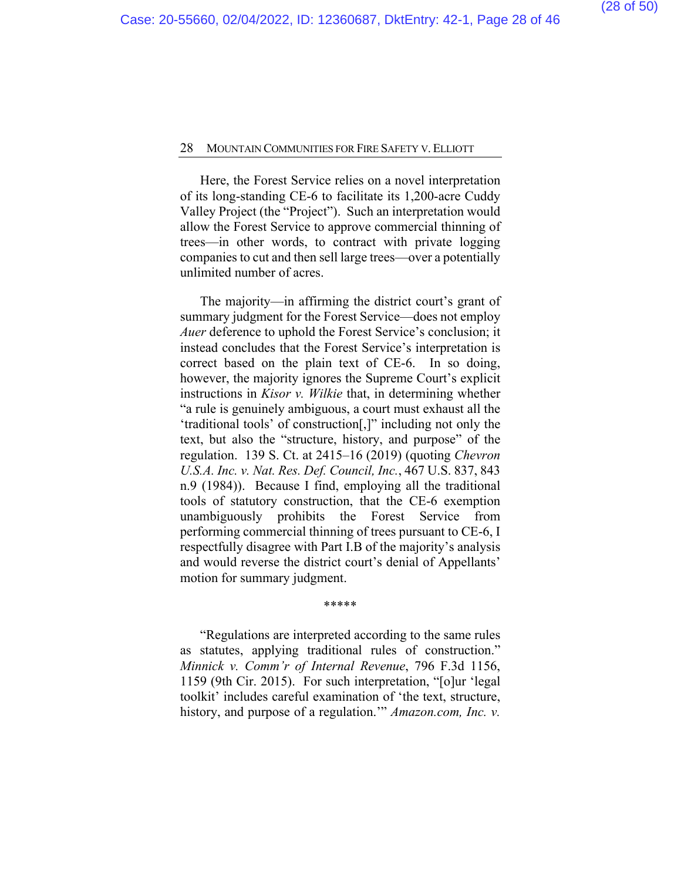Here, the Forest Service relies on a novel interpretation of its long-standing CE-6 to facilitate its 1,200-acre Cuddy Valley Project (the "Project"). Such an interpretation would allow the Forest Service to approve commercial thinning of trees—in other words, to contract with private logging companies to cut and then sell large trees—over a potentially unlimited number of acres.

The majority—in affirming the district court's grant of summary judgment for the Forest Service—does not employ *Auer* deference to uphold the Forest Service's conclusion; it instead concludes that the Forest Service's interpretation is correct based on the plain text of CE-6. In so doing, however, the majority ignores the Supreme Court's explicit instructions in *Kisor v. Wilkie* that, in determining whether "a rule is genuinely ambiguous, a court must exhaust all the 'traditional tools' of construction[,]" including not only the text, but also the "structure, history, and purpose" of the regulation. 139 S. Ct. at 2415–16 (2019) (quoting *Chevron U.S.A. Inc. v. Nat. Res. Def. Council, Inc.*, 467 U.S. 837, 843 n.9 (1984)). Because I find, employing all the traditional tools of statutory construction, that the CE-6 exemption unambiguously prohibits the Forest Service from performing commercial thinning of trees pursuant to CE-6, I respectfully disagree with Part I.B of the majority's analysis and would reverse the district court's denial of Appellants' motion for summary judgment.

\*\*\*\*\*

"Regulations are interpreted according to the same rules as statutes, applying traditional rules of construction." *Minnick v. Comm'r of Internal Revenue*, 796 F.3d 1156, 1159 (9th Cir. 2015). For such interpretation, "[o]ur 'legal toolkit' includes careful examination of 'the text, structure, history, and purpose of a regulation.'" *Amazon.com, Inc. v.*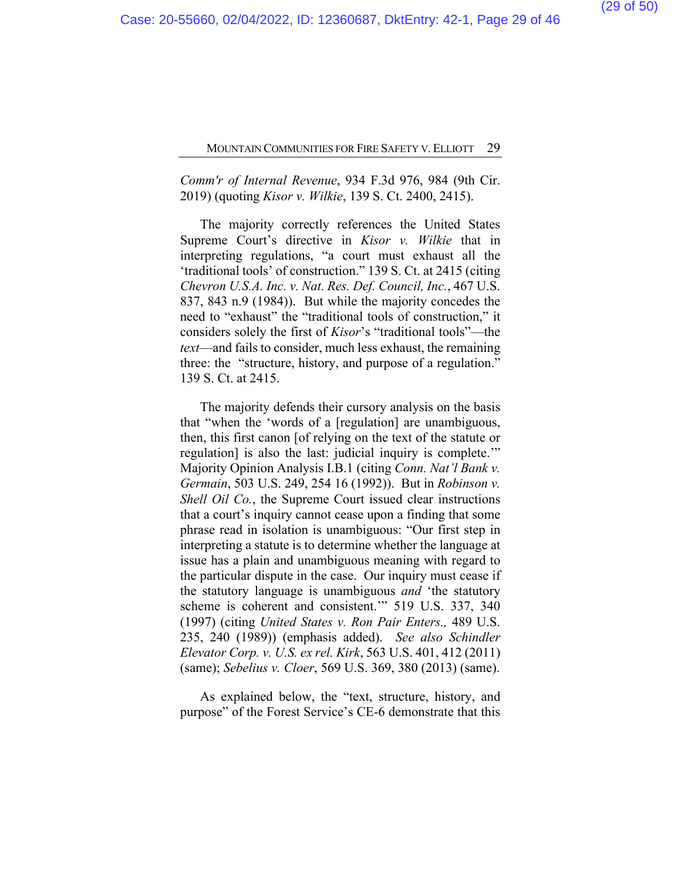## *Comm'r of Internal Revenue*, 934 F.3d 976, 984 (9th Cir. 2019) (quoting *Kisor v. Wilkie*, 139 S. Ct. 2400, 2415).

The majority correctly references the United States Supreme Court's directive in *Kisor v. Wilkie* that in interpreting regulations, "a court must exhaust all the 'traditional tools' of construction." 139 S. Ct. at 2415 (citing *Chevron U.S.A. Inc. v. Nat. Res. Def. Council, Inc.*, 467 U.S. 837, 843 n.9 (1984)). But while the majority concedes the need to "exhaust" the "traditional tools of construction," it considers solely the first of *Kisor*'s "traditional tools"—the *text*—and fails to consider, much less exhaust, the remaining three: the "structure, history, and purpose of a regulation." 139 S. Ct. at 2415.

The majority defends their cursory analysis on the basis that "when the 'words of a [regulation] are unambiguous, then, this first canon [of relying on the text of the statute or regulation] is also the last: judicial inquiry is complete.'" Majority Opinion Analysis I.B.1 (citing *Conn. Nat'l Bank v. Germain*, 503 U.S. 249, 254 16 (1992)). But in *Robinson v. Shell Oil Co.*, the Supreme Court issued clear instructions that a court's inquiry cannot cease upon a finding that some phrase read in isolation is unambiguous: "Our first step in interpreting a statute is to determine whether the language at issue has a plain and unambiguous meaning with regard to the particular dispute in the case. Our inquiry must cease if the statutory language is unambiguous *and* 'the statutory scheme is coherent and consistent.'" 519 U.S. 337, 340 (1997) (citing *United States v. Ron Pair Enters.,* 489 U.S. 235, 240 (1989)) (emphasis added). *See also Schindler Elevator Corp. v. U.S. ex rel. Kirk*, 563 U.S. 401, 412 (2011) (same); *Sebelius v. Cloer*, 569 U.S. 369, 380 (2013) (same).

As explained below, the "text, structure, history, and purpose" of the Forest Service's CE-6 demonstrate that this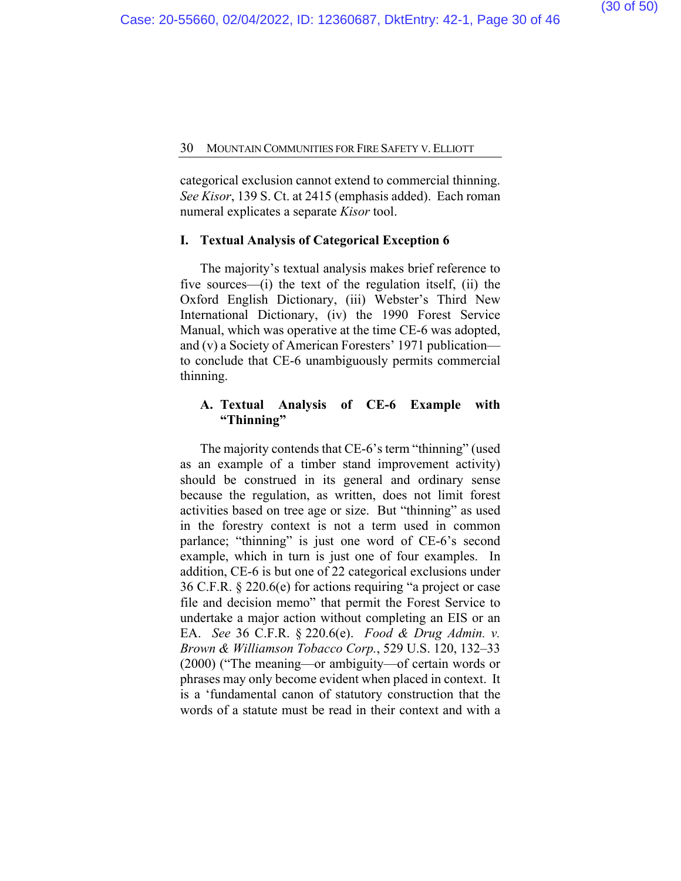categorical exclusion cannot extend to commercial thinning. *See Kisor*, 139 S. Ct. at 2415 (emphasis added). Each roman numeral explicates a separate *Kisor* tool.

#### **I. Textual Analysis of Categorical Exception 6**

The majority's textual analysis makes brief reference to five sources—(i) the text of the regulation itself, (ii) the Oxford English Dictionary, (iii) Webster's Third New International Dictionary, (iv) the 1990 Forest Service Manual, which was operative at the time CE-6 was adopted, and (v) a Society of American Foresters' 1971 publication to conclude that CE-6 unambiguously permits commercial thinning.

#### **A. Textual Analysis of CE-6 Example with "Thinning"**

The majority contends that CE-6's term "thinning" (used as an example of a timber stand improvement activity) should be construed in its general and ordinary sense because the regulation, as written, does not limit forest activities based on tree age or size. But "thinning" as used in the forestry context is not a term used in common parlance; "thinning" is just one word of CE-6's second example, which in turn is just one of four examples. In addition, CE-6 is but one of 22 categorical exclusions under 36 C.F.R. § 220.6(e) for actions requiring "a project or case file and decision memo" that permit the Forest Service to undertake a major action without completing an EIS or an EA. *See* 36 C.F.R. § 220.6(e). *Food & Drug Admin. v. Brown & Williamson Tobacco Corp.*, 529 U.S. 120, 132–33 (2000) ("The meaning—or ambiguity—of certain words or phrases may only become evident when placed in context. It is a 'fundamental canon of statutory construction that the words of a statute must be read in their context and with a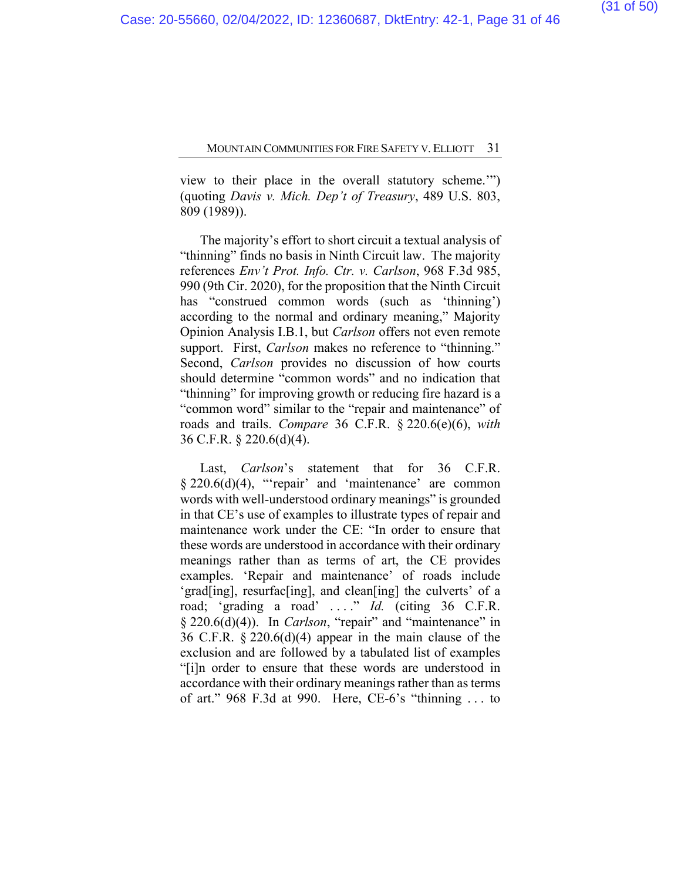view to their place in the overall statutory scheme.'") (quoting *Davis v. Mich. Dep't of Treasury*, 489 U.S. 803, 809 (1989)).

The majority's effort to short circuit a textual analysis of "thinning" finds no basis in Ninth Circuit law. The majority references *Env't Prot. Info. Ctr. v. Carlson*, 968 F.3d 985, 990 (9th Cir. 2020), for the proposition that the Ninth Circuit has "construed common words (such as 'thinning') according to the normal and ordinary meaning," Majority Opinion Analysis I.B.1, but *Carlson* offers not even remote support. First, *Carlson* makes no reference to "thinning." Second, *Carlson* provides no discussion of how courts should determine "common words" and no indication that "thinning" for improving growth or reducing fire hazard is a "common word" similar to the "repair and maintenance" of roads and trails. *Compare* 36 C.F.R. § 220.6(e)(6), *with*  36 C.F.R. § 220.6(d)(4).

Last, *Carlson*'s statement that for 36 C.F.R. § 220.6(d)(4), "'repair' and 'maintenance' are common words with well-understood ordinary meanings" is grounded in that CE's use of examples to illustrate types of repair and maintenance work under the CE: "In order to ensure that these words are understood in accordance with their ordinary meanings rather than as terms of art, the CE provides examples. 'Repair and maintenance' of roads include 'grad[ing], resurfac[ing], and clean[ing] the culverts' of a road; 'grading a road' . . . ." *Id.* (citing 36 C.F.R. § 220.6(d)(4)). In *Carlson*, "repair" and "maintenance" in 36 C.F.R. § 220.6(d)(4) appear in the main clause of the exclusion and are followed by a tabulated list of examples "[i]n order to ensure that these words are understood in accordance with their ordinary meanings rather than as terms of art." 968 F.3d at 990. Here, CE-6's "thinning . . . to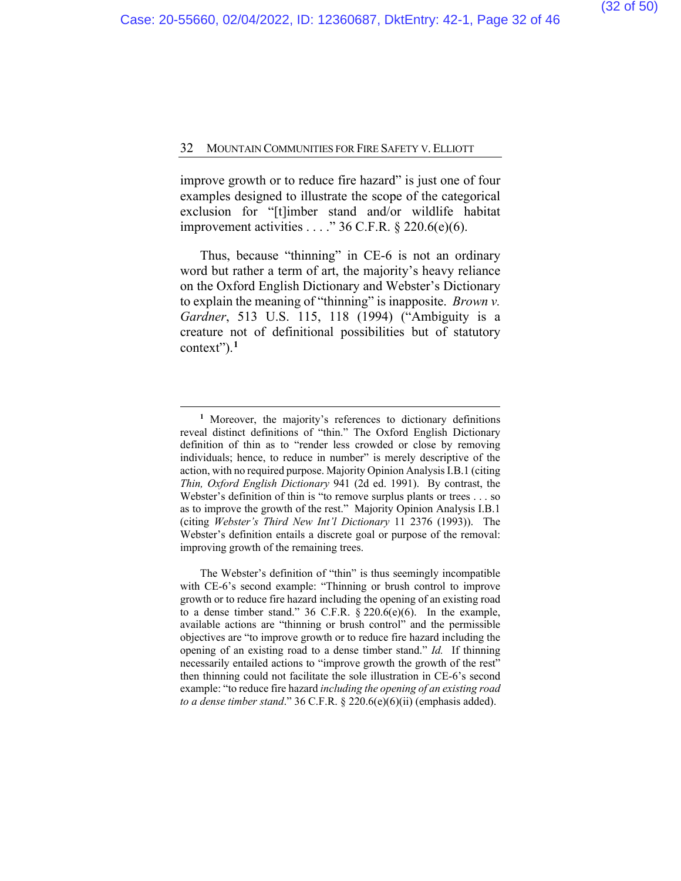improve growth or to reduce fire hazard" is just one of four examples designed to illustrate the scope of the categorical exclusion for "[t]imber stand and/or wildlife habitat improvement activities  $\dots$ ." 36 C.F.R. § 220.6(e)(6).

Thus, because "thinning" in CE-6 is not an ordinary word but rather a term of art, the majority's heavy reliance on the Oxford English Dictionary and Webster's Dictionary to explain the meaning of "thinning" is inapposite. *Brown v. Gardner*, 513 U.S. 115, 118 (1994) ("Ambiguity is a creature not of definitional possibilities but of statutory context").**[1](#page-37-0)**

**<sup>1</sup>** Moreover, the majority's references to dictionary definitions reveal distinct definitions of "thin." The Oxford English Dictionary definition of thin as to "render less crowded or close by removing individuals; hence, to reduce in number" is merely descriptive of the action, with no required purpose. Majority Opinion Analysis I.B.1 (citing *Thin, Oxford English Dictionary* 941 (2d ed. 1991). By contrast, the Webster's definition of thin is "to remove surplus plants or trees . . . so as to improve the growth of the rest." Majority Opinion Analysis I.B.1 (citing *Webster's Third New Int'l Dictionary* 11 2376 (1993)). The Webster's definition entails a discrete goal or purpose of the removal: improving growth of the remaining trees.

The Webster's definition of "thin" is thus seemingly incompatible with CE-6's second example: "Thinning or brush control to improve growth or to reduce fire hazard including the opening of an existing road to a dense timber stand." 36 C.F.R.  $\S$  220.6(e)(6). In the example, available actions are "thinning or brush control" and the permissible objectives are "to improve growth or to reduce fire hazard including the opening of an existing road to a dense timber stand." *Id.* If thinning necessarily entailed actions to "improve growth the growth of the rest" then thinning could not facilitate the sole illustration in CE-6's second example: "to reduce fire hazard *including the opening of an existing road to a dense timber stand*." 36 C.F.R. § 220.6(e)(6)(ii) (emphasis added).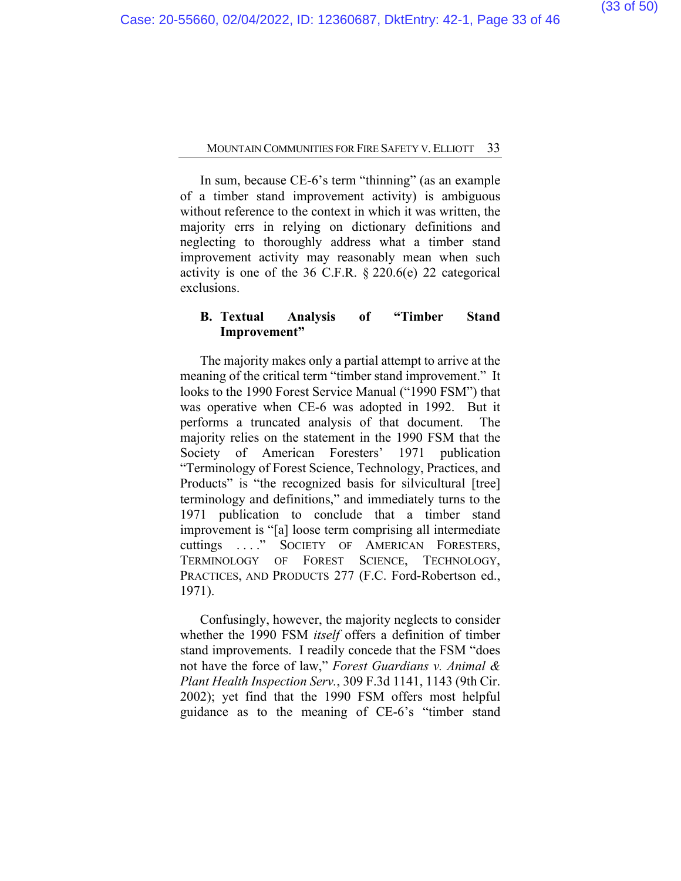In sum, because CE-6's term "thinning" (as an example of a timber stand improvement activity) is ambiguous without reference to the context in which it was written, the majority errs in relying on dictionary definitions and neglecting to thoroughly address what a timber stand improvement activity may reasonably mean when such activity is one of the 36 C.F.R.  $\S 220.6(e)$  22 categorical exclusions.

## **B. Textual Analysis of "Timber Stand Improvement"**

The majority makes only a partial attempt to arrive at the meaning of the critical term "timber stand improvement." It looks to the 1990 Forest Service Manual ("1990 FSM") that was operative when CE-6 was adopted in 1992. But it performs a truncated analysis of that document. The majority relies on the statement in the 1990 FSM that the Society of American Foresters' 1971 publication "Terminology of Forest Science, Technology, Practices, and Products" is "the recognized basis for silvicultural [tree] terminology and definitions," and immediately turns to the 1971 publication to conclude that a timber stand improvement is "[a] loose term comprising all intermediate cuttings . . . ." SOCIETY OF AMERICAN FORESTERS, TERMINOLOGY OF FOREST SCIENCE, TECHNOLOGY, PRACTICES, AND PRODUCTS 277 (F.C. Ford-Robertson ed., 1971).

Confusingly, however, the majority neglects to consider whether the 1990 FSM *itself* offers a definition of timber stand improvements. I readily concede that the FSM "does not have the force of law," *Forest Guardians v. Animal & Plant Health Inspection Serv.*, 309 F.3d 1141, 1143 (9th Cir. 2002); yet find that the 1990 FSM offers most helpful guidance as to the meaning of CE-6's "timber stand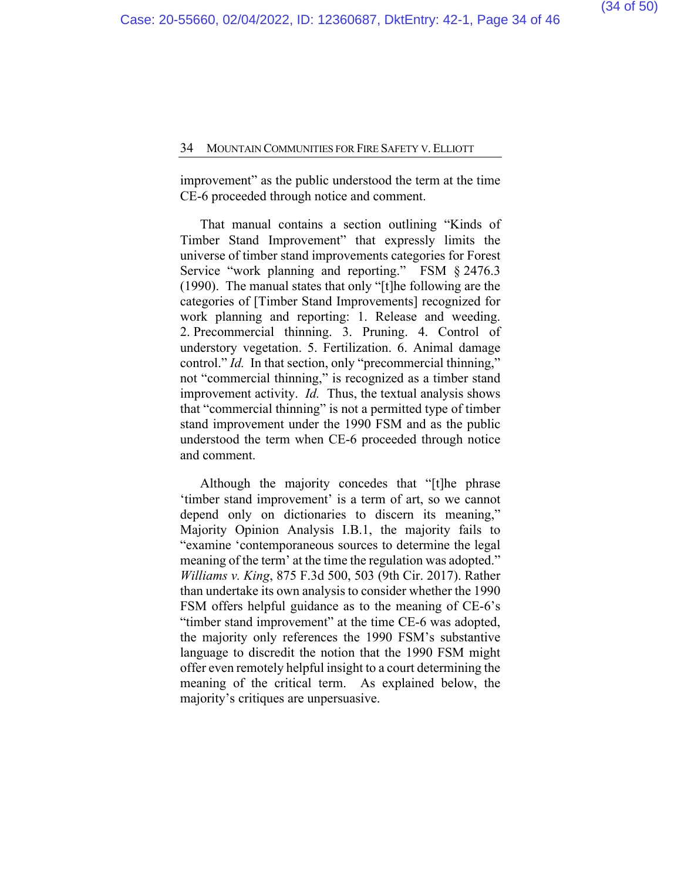improvement" as the public understood the term at the time CE-6 proceeded through notice and comment.

That manual contains a section outlining "Kinds of Timber Stand Improvement" that expressly limits the universe of timber stand improvements categories for Forest Service "work planning and reporting." FSM § 2476.3 (1990). The manual states that only "[t]he following are the categories of [Timber Stand Improvements] recognized for work planning and reporting: 1. Release and weeding. 2. Precommercial thinning. 3. Pruning. 4. Control of understory vegetation. 5. Fertilization. 6. Animal damage control." *Id.* In that section, only "precommercial thinning," not "commercial thinning," is recognized as a timber stand improvement activity. *Id.* Thus, the textual analysis shows that "commercial thinning" is not a permitted type of timber stand improvement under the 1990 FSM and as the public understood the term when CE-6 proceeded through notice and comment.

Although the majority concedes that "[t]he phrase 'timber stand improvement' is a term of art, so we cannot depend only on dictionaries to discern its meaning," Majority Opinion Analysis I.B.1, the majority fails to "examine 'contemporaneous sources to determine the legal meaning of the term' at the time the regulation was adopted." *Williams v. King*, 875 F.3d 500, 503 (9th Cir. 2017). Rather than undertake its own analysis to consider whether the 1990 FSM offers helpful guidance as to the meaning of CE-6's "timber stand improvement" at the time CE-6 was adopted, the majority only references the 1990 FSM's substantive language to discredit the notion that the 1990 FSM might offer even remotely helpful insight to a court determining the meaning of the critical term. As explained below, the majority's critiques are unpersuasive.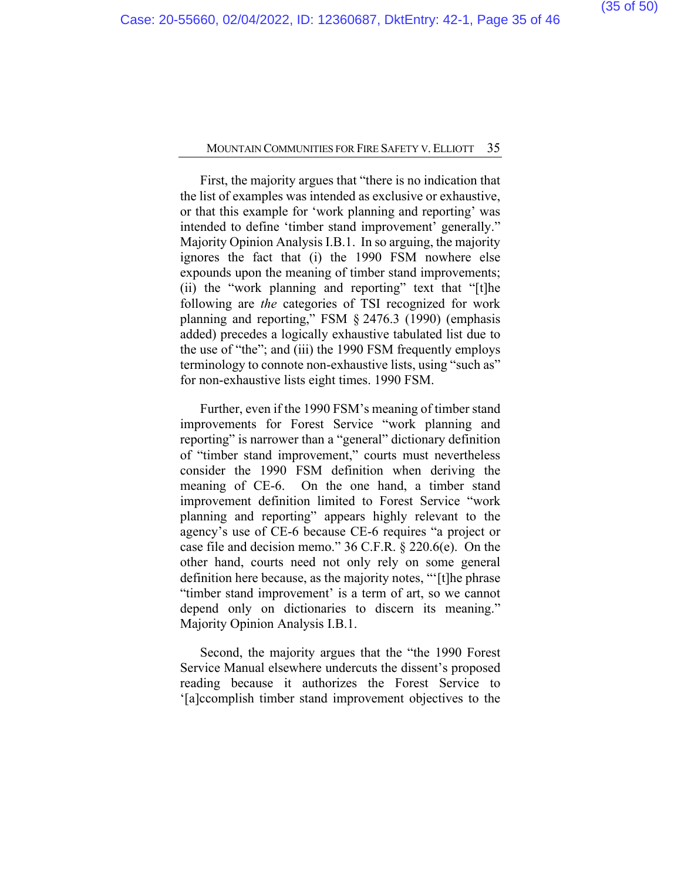First, the majority argues that "there is no indication that the list of examples was intended as exclusive or exhaustive, or that this example for 'work planning and reporting' was intended to define 'timber stand improvement' generally." Majority Opinion Analysis I.B.1. In so arguing, the majority ignores the fact that (i) the 1990 FSM nowhere else expounds upon the meaning of timber stand improvements; (ii) the "work planning and reporting" text that "[t]he following are *the* categories of TSI recognized for work planning and reporting," FSM § 2476.3 (1990) (emphasis added) precedes a logically exhaustive tabulated list due to the use of "the"; and (iii) the 1990 FSM frequently employs terminology to connote non-exhaustive lists, using "such as" for non-exhaustive lists eight times. 1990 FSM.

Further, even if the 1990 FSM's meaning of timber stand improvements for Forest Service "work planning and reporting" is narrower than a "general" dictionary definition of "timber stand improvement," courts must nevertheless consider the 1990 FSM definition when deriving the meaning of CE-6. On the one hand, a timber stand improvement definition limited to Forest Service "work planning and reporting" appears highly relevant to the agency's use of CE-6 because CE-6 requires "a project or case file and decision memo." 36 C.F.R. § 220.6(e). On the other hand, courts need not only rely on some general definition here because, as the majority notes, "'[t]he phrase "timber stand improvement' is a term of art, so we cannot depend only on dictionaries to discern its meaning." Majority Opinion Analysis I.B.1.

Second, the majority argues that the "the 1990 Forest Service Manual elsewhere undercuts the dissent's proposed reading because it authorizes the Forest Service to '[a]ccomplish timber stand improvement objectives to the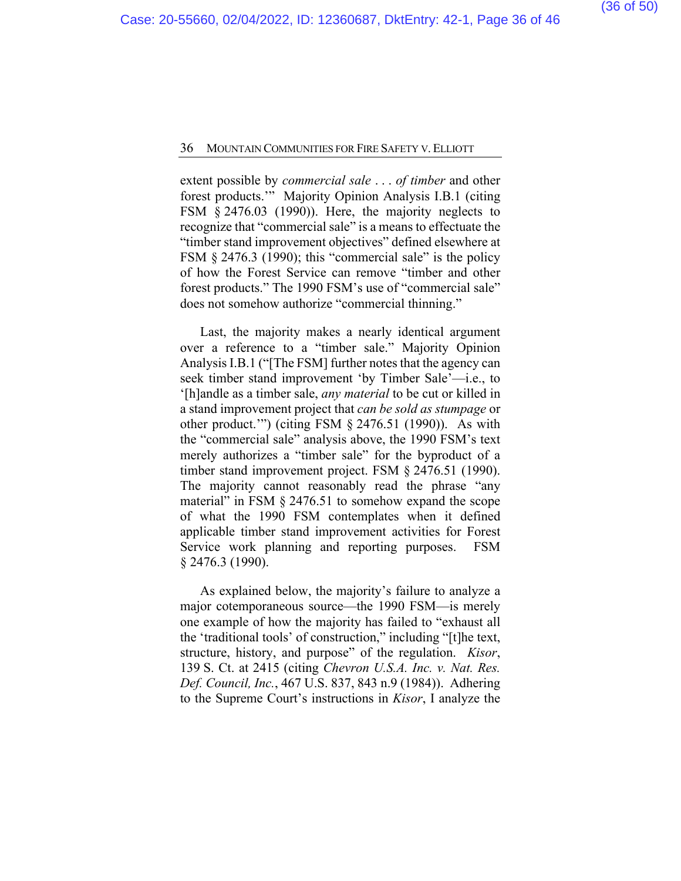extent possible by *commercial sale* . . . *of timber* and other forest products.'" Majority Opinion Analysis I.B.1 (citing FSM § 2476.03 (1990)). Here, the majority neglects to recognize that "commercial sale" is a means to effectuate the "timber stand improvement objectives" defined elsewhere at FSM § 2476.3 (1990); this "commercial sale" is the policy of how the Forest Service can remove "timber and other forest products." The 1990 FSM's use of "commercial sale" does not somehow authorize "commercial thinning."

Last, the majority makes a nearly identical argument over a reference to a "timber sale." Majority Opinion Analysis I.B.1 ("[The FSM] further notes that the agency can seek timber stand improvement 'by Timber Sale'—i.e., to '[h]andle as a timber sale, *any material* to be cut or killed in a stand improvement project that *can be sold as stumpage* or other product.'") (citing FSM § 2476.51 (1990)). As with the "commercial sale" analysis above, the 1990 FSM's text merely authorizes a "timber sale" for the byproduct of a timber stand improvement project. FSM § 2476.51 (1990). The majority cannot reasonably read the phrase "any material" in FSM § 2476.51 to somehow expand the scope of what the 1990 FSM contemplates when it defined applicable timber stand improvement activities for Forest Service work planning and reporting purposes. FSM § 2476.3 (1990).

As explained below, the majority's failure to analyze a major cotemporaneous source—the 1990 FSM—is merely one example of how the majority has failed to "exhaust all the 'traditional tools' of construction," including "[t]he text, structure, history, and purpose" of the regulation. *Kisor*, 139 S. Ct. at 2415 (citing *Chevron U.S.A. Inc. v. Nat. Res. Def. Council, Inc.*, 467 U.S. 837, 843 n.9 (1984)). Adhering to the Supreme Court's instructions in *Kisor*, I analyze the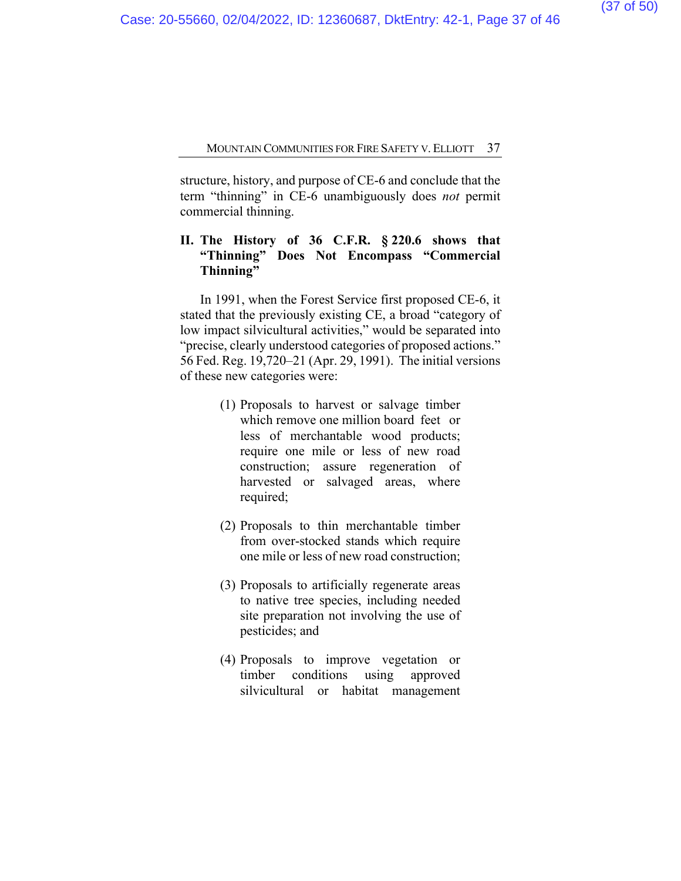structure, history, and purpose of CE-6 and conclude that the term "thinning" in CE-6 unambiguously does *not* permit commercial thinning.

## **II. The History of 36 C.F.R. § 220.6 shows that "Thinning" Does Not Encompass "Commercial Thinning"**

In 1991, when the Forest Service first proposed CE-6, it stated that the previously existing CE, a broad "category of low impact silvicultural activities," would be separated into "precise, clearly understood categories of proposed actions." 56 Fed. Reg. 19,720–21 (Apr. 29, 1991). The initial versions of these new categories were:

- (1) Proposals to harvest or salvage timber which remove one million board feet or less of merchantable wood products; require one mile or less of new road construction; assure regeneration of harvested or salvaged areas, where required;
- (2) Proposals to thin merchantable timber from over-stocked stands which require one mile or less of new road construction;
- (3) Proposals to artificially regenerate areas to native tree species, including needed site preparation not involving the use of pesticides; and
- (4) Proposals to improve vegetation or timber conditions using approved silvicultural or habitat management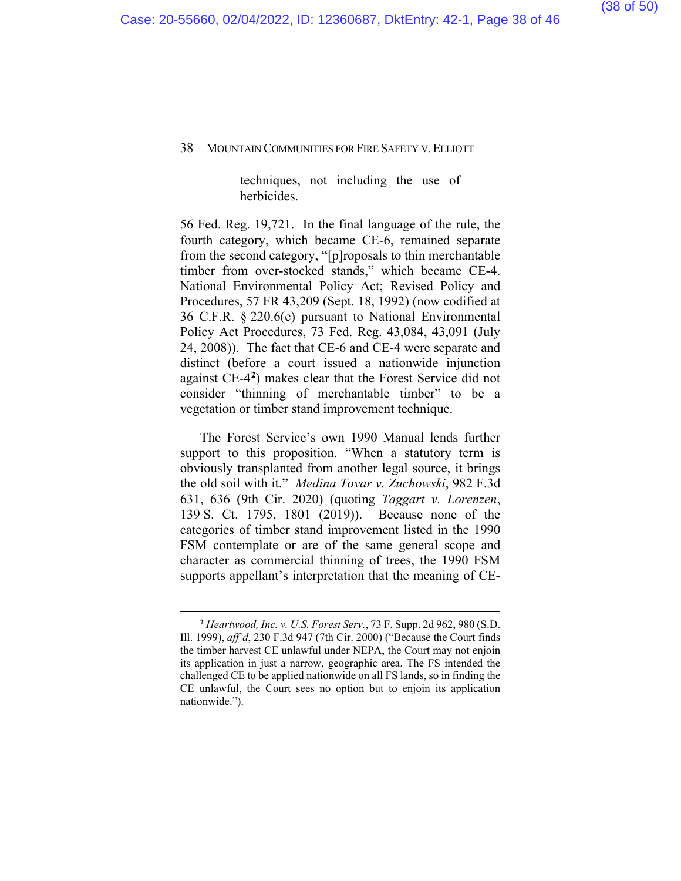techniques, not including the use of herbicides.

56 Fed. Reg. 19,721. In the final language of the rule, the fourth category, which became CE-6, remained separate from the second category, "[p]roposals to thin merchantable timber from over-stocked stands," which became CE-4. National Environmental Policy Act; Revised Policy and Procedures, 57 FR 43,209 (Sept. 18, 1992) (now codified at 36 C.F.R. § 220.6(e) pursuant to National Environmental Policy Act Procedures, 73 Fed. Reg. 43,084, 43,091 (July 24, 2008)). The fact that CE-6 and CE-4 were separate and distinct (before a court issued a nationwide injunction against CE-4**[2](#page-37-0)**) makes clear that the Forest Service did not consider "thinning of merchantable timber" to be a vegetation or timber stand improvement technique.

The Forest Service's own 1990 Manual lends further support to this proposition. "When a statutory term is obviously transplanted from another legal source, it brings the old soil with it." *Medina Tovar v. Zuchowski*, 982 F.3d 631, 636 (9th Cir. 2020) (quoting *Taggart v. Lorenzen*, 139 S. Ct. 1795, 1801 (2019)). Because none of the categories of timber stand improvement listed in the 1990 FSM contemplate or are of the same general scope and character as commercial thinning of trees, the 1990 FSM supports appellant's interpretation that the meaning of CE-

<span id="page-37-0"></span>**<sup>2</sup>** *Heartwood, Inc. v. U.S. Forest Serv.*, 73 F. Supp. 2d 962, 980 (S.D. Ill. 1999), *aff'd*, 230 F.3d 947 (7th Cir. 2000) ("Because the Court finds the timber harvest CE unlawful under NEPA, the Court may not enjoin its application in just a narrow, geographic area. The FS intended the challenged CE to be applied nationwide on all FS lands, so in finding the CE unlawful, the Court sees no option but to enjoin its application nationwide.").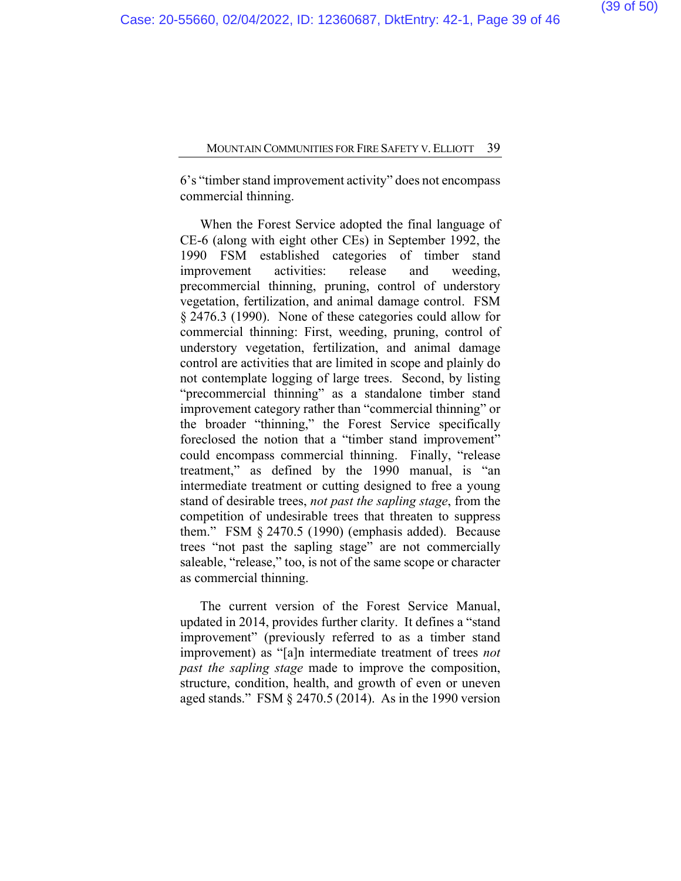6's "timber stand improvement activity" does not encompass commercial thinning.

When the Forest Service adopted the final language of CE-6 (along with eight other CEs) in September 1992, the 1990 FSM established categories of timber stand improvement activities: release and weeding, precommercial thinning, pruning, control of understory vegetation, fertilization, and animal damage control. FSM § 2476.3 (1990). None of these categories could allow for commercial thinning: First, weeding, pruning, control of understory vegetation, fertilization, and animal damage control are activities that are limited in scope and plainly do not contemplate logging of large trees. Second, by listing "precommercial thinning" as a standalone timber stand improvement category rather than "commercial thinning" or the broader "thinning," the Forest Service specifically foreclosed the notion that a "timber stand improvement" could encompass commercial thinning. Finally, "release treatment," as defined by the 1990 manual, is "an intermediate treatment or cutting designed to free a young stand of desirable trees, *not past the sapling stage*, from the competition of undesirable trees that threaten to suppress them." FSM § 2470.5 (1990) (emphasis added). Because trees "not past the sapling stage" are not commercially saleable, "release," too, is not of the same scope or character as commercial thinning.

The current version of the Forest Service Manual, updated in 2014, provides further clarity. It defines a "stand improvement" (previously referred to as a timber stand improvement) as "[a]n intermediate treatment of trees *not past the sapling stage* made to improve the composition, structure, condition, health, and growth of even or uneven aged stands." FSM § 2470.5 (2014). As in the 1990 version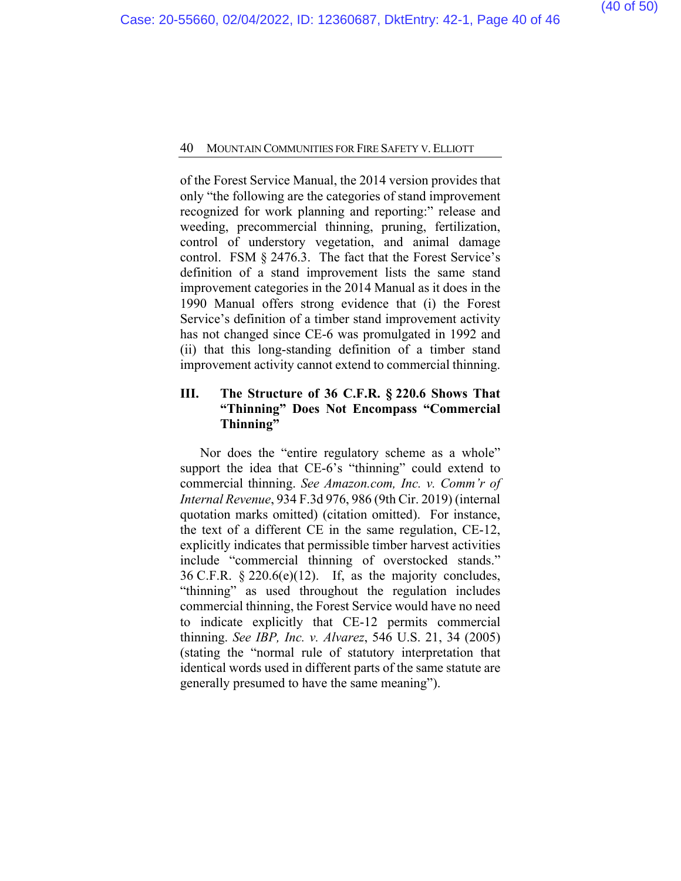of the Forest Service Manual, the 2014 version provides that only "the following are the categories of stand improvement recognized for work planning and reporting:" release and weeding, precommercial thinning, pruning, fertilization, control of understory vegetation, and animal damage control. FSM § 2476.3. The fact that the Forest Service's definition of a stand improvement lists the same stand improvement categories in the 2014 Manual as it does in the 1990 Manual offers strong evidence that (i) the Forest Service's definition of a timber stand improvement activity has not changed since CE-6 was promulgated in 1992 and (ii) that this long-standing definition of a timber stand improvement activity cannot extend to commercial thinning.

## **III. The Structure of 36 C.F.R. § 220.6 Shows That "Thinning" Does Not Encompass "Commercial Thinning"**

Nor does the "entire regulatory scheme as a whole" support the idea that CE-6's "thinning" could extend to commercial thinning. *See Amazon.com, Inc. v. Comm'r of Internal Revenue*, 934 F.3d 976, 986 (9th Cir. 2019) (internal quotation marks omitted) (citation omitted). For instance, the text of a different CE in the same regulation, CE-12, explicitly indicates that permissible timber harvest activities include "commercial thinning of overstocked stands." 36 C.F.R.  $\S 220.6(e)(12)$ . If, as the majority concludes, "thinning" as used throughout the regulation includes commercial thinning, the Forest Service would have no need to indicate explicitly that CE-12 permits commercial thinning. *See IBP, Inc. v. Alvarez*, 546 U.S. 21, 34 (2005) (stating the "normal rule of statutory interpretation that identical words used in different parts of the same statute are generally presumed to have the same meaning").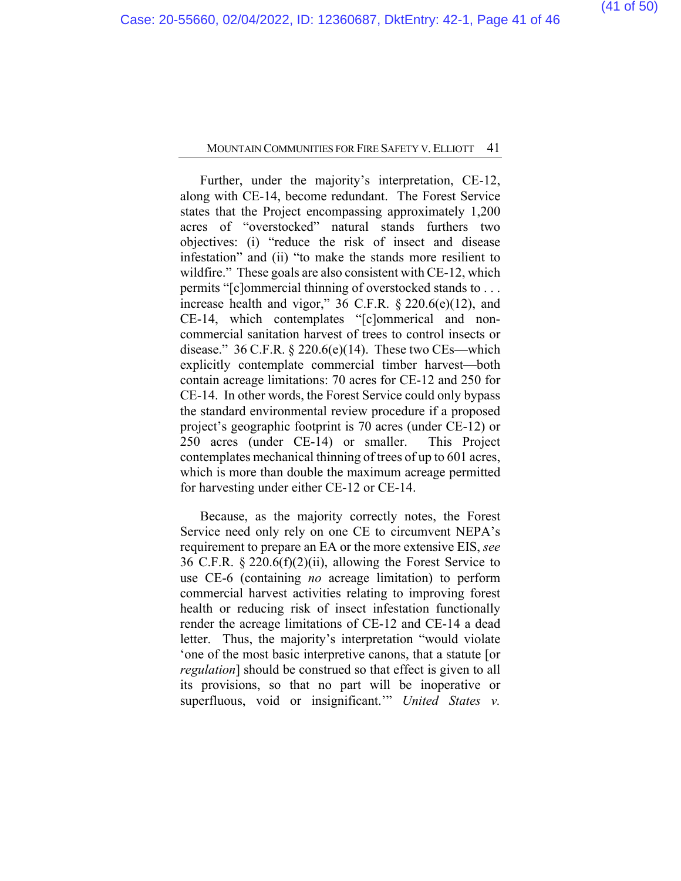Further, under the majority's interpretation, CE-12, along with CE-14, become redundant. The Forest Service states that the Project encompassing approximately 1,200 acres of "overstocked" natural stands furthers two objectives: (i) "reduce the risk of insect and disease infestation" and (ii) "to make the stands more resilient to wildfire." These goals are also consistent with CE-12, which permits "[c]ommercial thinning of overstocked stands to . . . increase health and vigor," 36 C.F.R. § 220.6(e)(12), and CE-14, which contemplates "[c]ommerical and noncommercial sanitation harvest of trees to control insects or disease."  $36$  C.F.R.  $\S$  220.6(e)(14). These two CEs—which explicitly contemplate commercial timber harvest—both contain acreage limitations: 70 acres for CE-12 and 250 for CE-14. In other words, the Forest Service could only bypass the standard environmental review procedure if a proposed project's geographic footprint is 70 acres (under CE-12) or 250 acres (under CE-14) or smaller. This Project contemplates mechanical thinning of trees of up to 601 acres, which is more than double the maximum acreage permitted for harvesting under either CE-12 or CE-14.

Because, as the majority correctly notes, the Forest Service need only rely on one CE to circumvent NEPA's requirement to prepare an EA or the more extensive EIS, *see* 36 C.F.R. § 220.6(f)(2)(ii), allowing the Forest Service to use CE-6 (containing *no* acreage limitation) to perform commercial harvest activities relating to improving forest health or reducing risk of insect infestation functionally render the acreage limitations of CE-12 and CE-14 a dead letter. Thus, the majority's interpretation "would violate 'one of the most basic interpretive canons, that a statute [or *regulation*] should be construed so that effect is given to all its provisions, so that no part will be inoperative or superfluous, void or insignificant.'" *United States v.*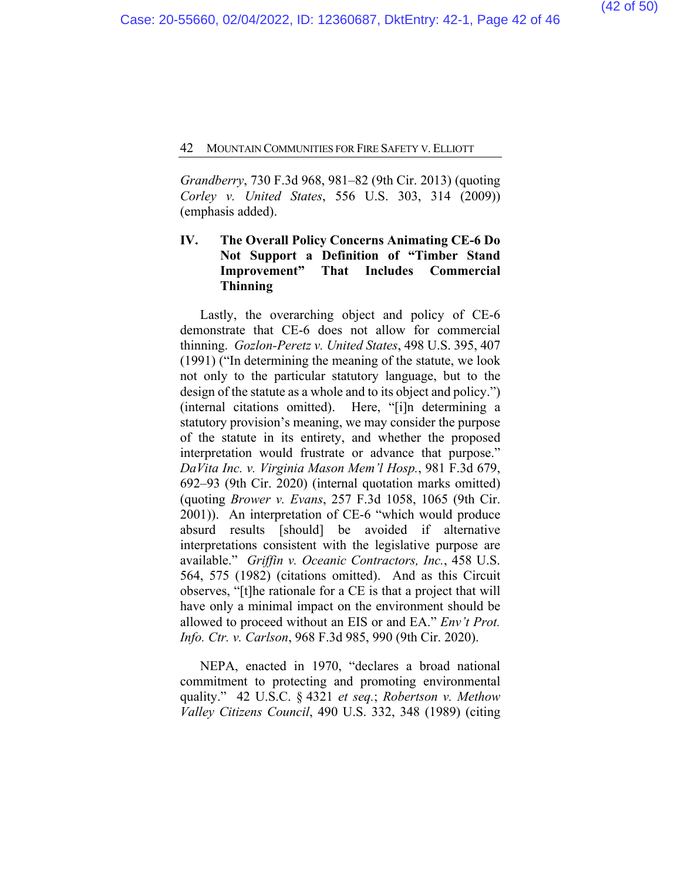*Grandberry*, 730 F.3d 968, 981–82 (9th Cir. 2013) (quoting *Corley v. United States*, 556 U.S. 303, 314 (2009)) (emphasis added).

## **IV. The Overall Policy Concerns Animating CE-6 Do Not Support a Definition of "Timber Stand Improvement" That Includes Commercial Thinning**

Lastly, the overarching object and policy of CE-6 demonstrate that CE-6 does not allow for commercial thinning. *Gozlon-Peretz v. United States*, 498 U.S. 395, 407 (1991) ("In determining the meaning of the statute, we look not only to the particular statutory language, but to the design of the statute as a whole and to its object and policy.") (internal citations omitted). Here, "[i]n determining a statutory provision's meaning, we may consider the purpose of the statute in its entirety, and whether the proposed interpretation would frustrate or advance that purpose." *DaVita Inc. v. Virginia Mason Mem'l Hosp.*, 981 F.3d 679, 692–93 (9th Cir. 2020) (internal quotation marks omitted) (quoting *Brower v. Evans*, 257 F.3d 1058, 1065 (9th Cir. 2001)). An interpretation of CE-6 "which would produce absurd results [should] be avoided if alternative interpretations consistent with the legislative purpose are available." *Griffin v. Oceanic Contractors, Inc.*, 458 U.S. 564, 575 (1982) (citations omitted). And as this Circuit observes, "[t]he rationale for a CE is that a project that will have only a minimal impact on the environment should be allowed to proceed without an EIS or and EA." *Env't Prot. Info. Ctr. v. Carlson*, 968 F.3d 985, 990 (9th Cir. 2020).

NEPA, enacted in 1970, "declares a broad national commitment to protecting and promoting environmental quality." 42 U.S.C. § 4321 *et seq.*; *Robertson v. Methow Valley Citizens Council*, 490 U.S. 332, 348 (1989) (citing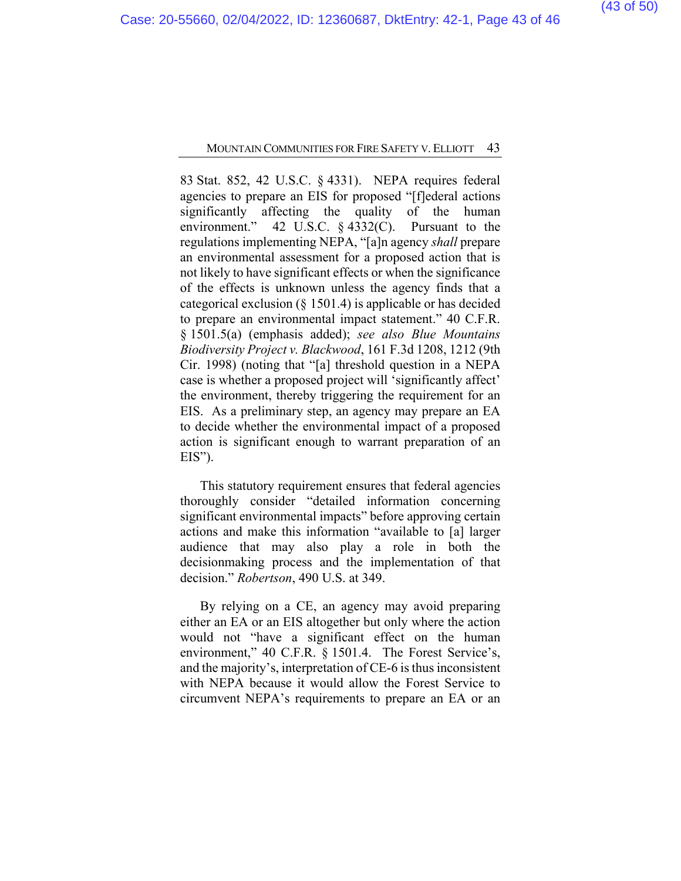83 Stat. 852, 42 U.S.C. § 4331). NEPA requires federal agencies to prepare an EIS for proposed "[f]ederal actions significantly affecting the quality of the human environment." 42 U.S.C. § 4332(C). Pursuant to the regulations implementing NEPA, "[a]n agency *shall* prepare an environmental assessment for a proposed action that is not likely to have significant effects or when the significance of the effects is unknown unless the agency finds that a categorical exclusion ( $\S$  1501.4) is applicable or has decided to prepare an environmental impact statement." 40 C.F.R. § 1501.5(a) (emphasis added); *see also Blue Mountains Biodiversity Project v. Blackwood*, 161 F.3d 1208, 1212 (9th Cir. 1998) (noting that "[a] threshold question in a NEPA case is whether a proposed project will 'significantly affect' the environment, thereby triggering the requirement for an EIS. As a preliminary step, an agency may prepare an EA to decide whether the environmental impact of a proposed action is significant enough to warrant preparation of an EIS").

This statutory requirement ensures that federal agencies thoroughly consider "detailed information concerning significant environmental impacts" before approving certain actions and make this information "available to [a] larger audience that may also play a role in both the decisionmaking process and the implementation of that decision." *Robertson*, 490 U.S. at 349.

By relying on a CE, an agency may avoid preparing either an EA or an EIS altogether but only where the action would not "have a significant effect on the human environment," 40 C.F.R. § 1501.4. The Forest Service's, and the majority's, interpretation of CE-6 is thus inconsistent with NEPA because it would allow the Forest Service to circumvent NEPA's requirements to prepare an EA or an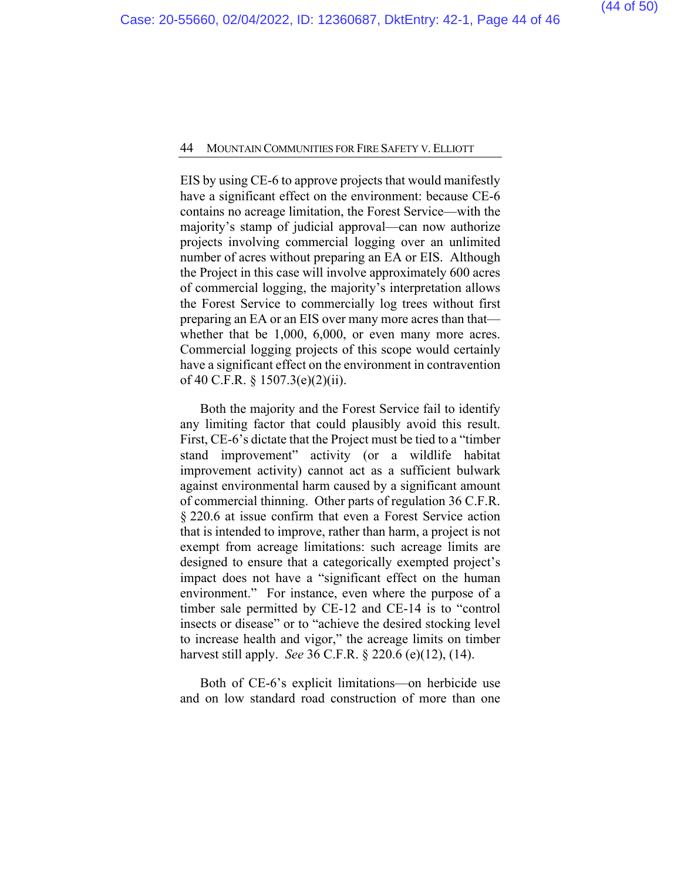EIS by using CE-6 to approve projects that would manifestly have a significant effect on the environment: because CE-6 contains no acreage limitation, the Forest Service—with the majority's stamp of judicial approval—can now authorize projects involving commercial logging over an unlimited number of acres without preparing an EA or EIS. Although the Project in this case will involve approximately 600 acres of commercial logging, the majority's interpretation allows the Forest Service to commercially log trees without first preparing an EA or an EIS over many more acres than that whether that be 1,000, 6,000, or even many more acres. Commercial logging projects of this scope would certainly have a significant effect on the environment in contravention of 40 C.F.R. § 1507.3(e)(2)(ii).

Both the majority and the Forest Service fail to identify any limiting factor that could plausibly avoid this result. First, CE-6's dictate that the Project must be tied to a "timber stand improvement" activity (or a wildlife habitat improvement activity) cannot act as a sufficient bulwark against environmental harm caused by a significant amount of commercial thinning. Other parts of regulation 36 C.F.R. § 220.6 at issue confirm that even a Forest Service action that is intended to improve, rather than harm, a project is not exempt from acreage limitations: such acreage limits are designed to ensure that a categorically exempted project's impact does not have a "significant effect on the human environment." For instance, even where the purpose of a timber sale permitted by CE-12 and CE-14 is to "control insects or disease" or to "achieve the desired stocking level to increase health and vigor," the acreage limits on timber harvest still apply. *See* 36 C.F.R. § 220.6 (e)(12), (14).

Both of CE-6's explicit limitations—on herbicide use and on low standard road construction of more than one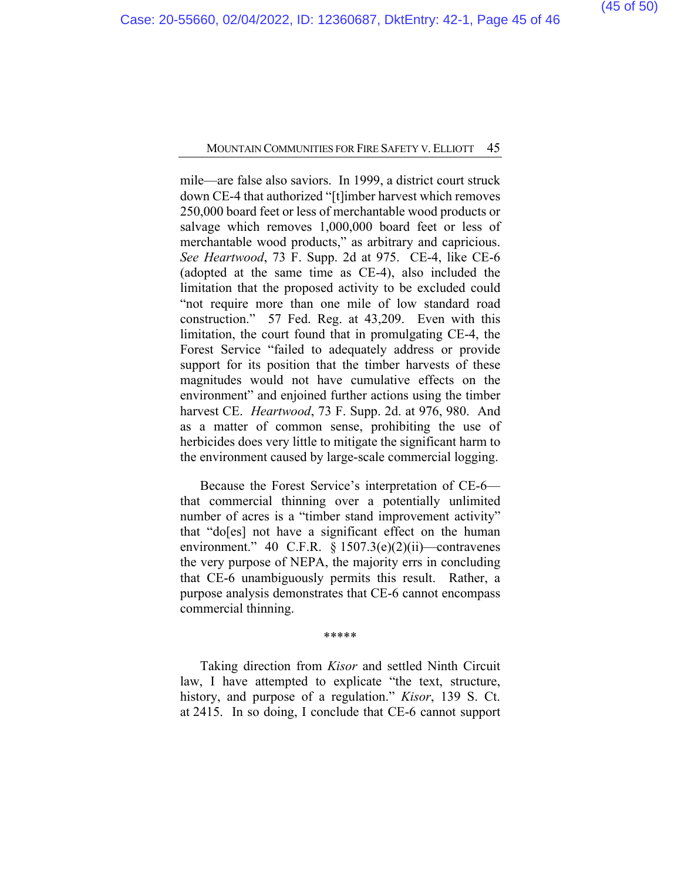mile—are false also saviors. In 1999, a district court struck down CE-4 that authorized "[t]imber harvest which removes 250,000 board feet or less of merchantable wood products or salvage which removes 1,000,000 board feet or less of merchantable wood products," as arbitrary and capricious. *See Heartwood*, 73 F. Supp. 2d at 975. CE-4, like CE-6 (adopted at the same time as CE-4), also included the limitation that the proposed activity to be excluded could "not require more than one mile of low standard road construction." 57 Fed. Reg. at 43,209. Even with this limitation, the court found that in promulgating CE-4, the Forest Service "failed to adequately address or provide support for its position that the timber harvests of these magnitudes would not have cumulative effects on the environment" and enjoined further actions using the timber harvest CE. *Heartwood*, 73 F. Supp. 2d. at 976, 980. And as a matter of common sense, prohibiting the use of herbicides does very little to mitigate the significant harm to the environment caused by large-scale commercial logging.

Because the Forest Service's interpretation of CE-6 that commercial thinning over a potentially unlimited number of acres is a "timber stand improvement activity" that "do[es] not have a significant effect on the human environment." 40 C.F.R. § 1507.3(e)(2)(ii)—contravenes the very purpose of NEPA, the majority errs in concluding that CE-6 unambiguously permits this result. Rather, a purpose analysis demonstrates that CE-6 cannot encompass commercial thinning.

#### \*\*\*\*\*

Taking direction from *Kisor* and settled Ninth Circuit law, I have attempted to explicate "the text, structure, history, and purpose of a regulation." *Kisor*, 139 S. Ct. at 2415. In so doing, I conclude that CE-6 cannot support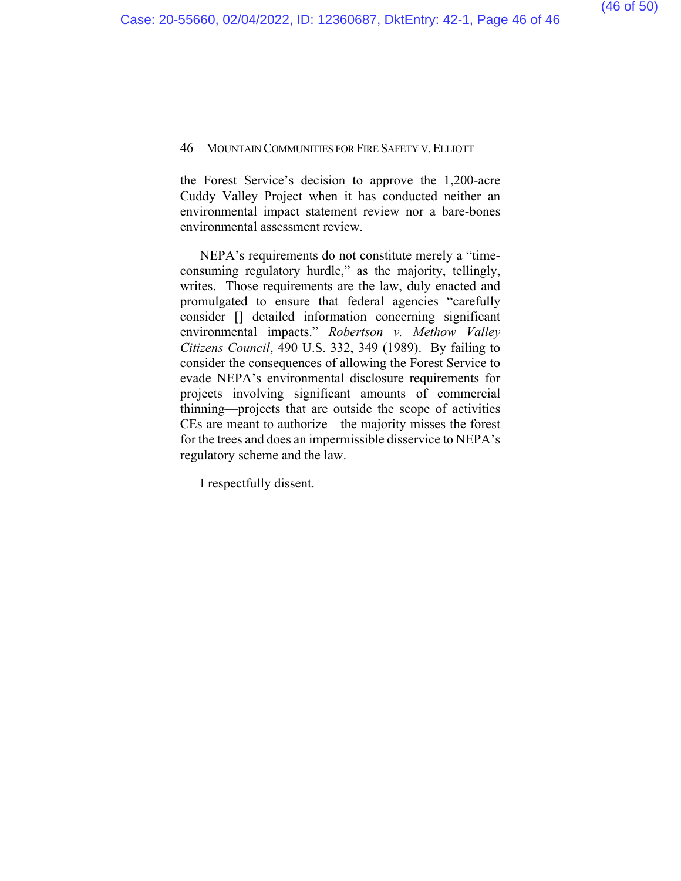the Forest Service's decision to approve the 1,200-acre Cuddy Valley Project when it has conducted neither an environmental impact statement review nor a bare-bones environmental assessment review.

NEPA's requirements do not constitute merely a "timeconsuming regulatory hurdle," as the majority, tellingly, writes. Those requirements are the law, duly enacted and promulgated to ensure that federal agencies "carefully consider [] detailed information concerning significant environmental impacts." *Robertson v. Methow Valley Citizens Council*, 490 U.S. 332, 349 (1989). By failing to consider the consequences of allowing the Forest Service to evade NEPA's environmental disclosure requirements for projects involving significant amounts of commercial thinning—projects that are outside the scope of activities CEs are meant to authorize—the majority misses the forest for the trees and does an impermissible disservice to NEPA's regulatory scheme and the law.

I respectfully dissent.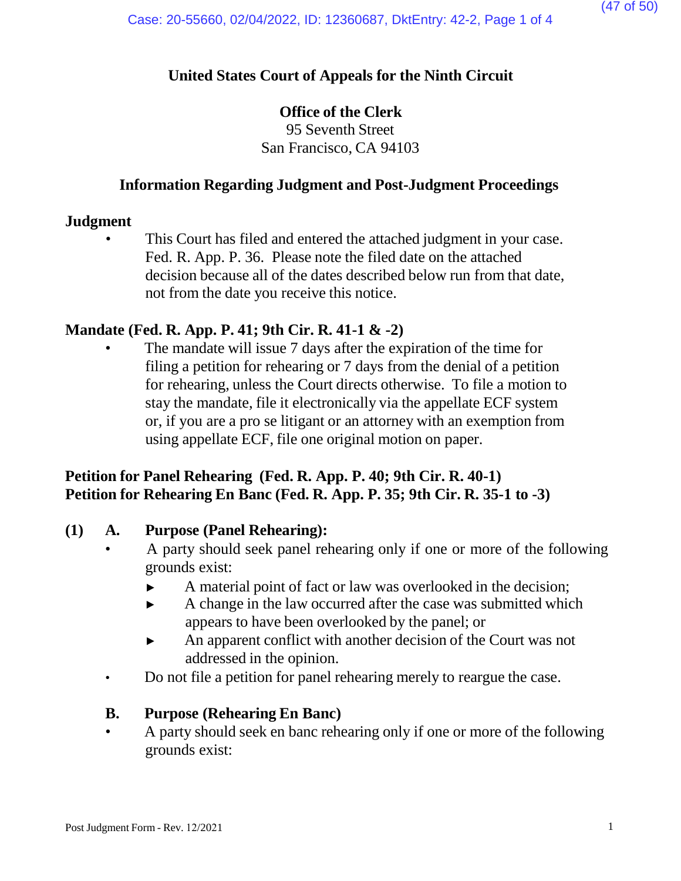# **United States Court of Appeals for the Ninth Circuit**

# **Office of the Clerk**

95 Seventh Street San Francisco, CA 94103

# **Information Regarding Judgment and Post-Judgment Proceedings**

## **Judgment**

This Court has filed and entered the attached judgment in your case. Fed. R. App. P. 36. Please note the filed date on the attached decision because all of the dates described below run from that date, not from the date you receive this notice.

# **Mandate (Fed. R. App. P. 41; 9th Cir. R. 41-1 & -2)**

The mandate will issue 7 days after the expiration of the time for filing a petition for rehearing or 7 days from the denial of a petition for rehearing, unless the Court directs otherwise. To file a motion to stay the mandate, file it electronically via the appellate ECF system or, if you are a pro se litigant or an attorney with an exemption from using appellate ECF, file one original motion on paper.

# **Petition for Panel Rehearing (Fed. R. App. P. 40; 9th Cir. R. 40-1) Petition for Rehearing En Banc (Fed. R. App. P. 35; 9th Cir. R. 35-1 to -3)**

## **(1) A. Purpose (Panel Rehearing):**

- A party should seek panel rehearing only if one or more of the following grounds exist:
	- ► A material point of fact or law was overlooked in the decision;
	- ► A change in the law occurred after the case was submitted which appears to have been overlooked by the panel; or
	- ► An apparent conflict with another decision of the Court was not addressed in the opinion.
- Do not file a petition for panel rehearing merely to reargue the case.

# **B. Purpose (Rehearing En Banc)**

• A party should seek en banc rehearing only if one or more of the following grounds exist: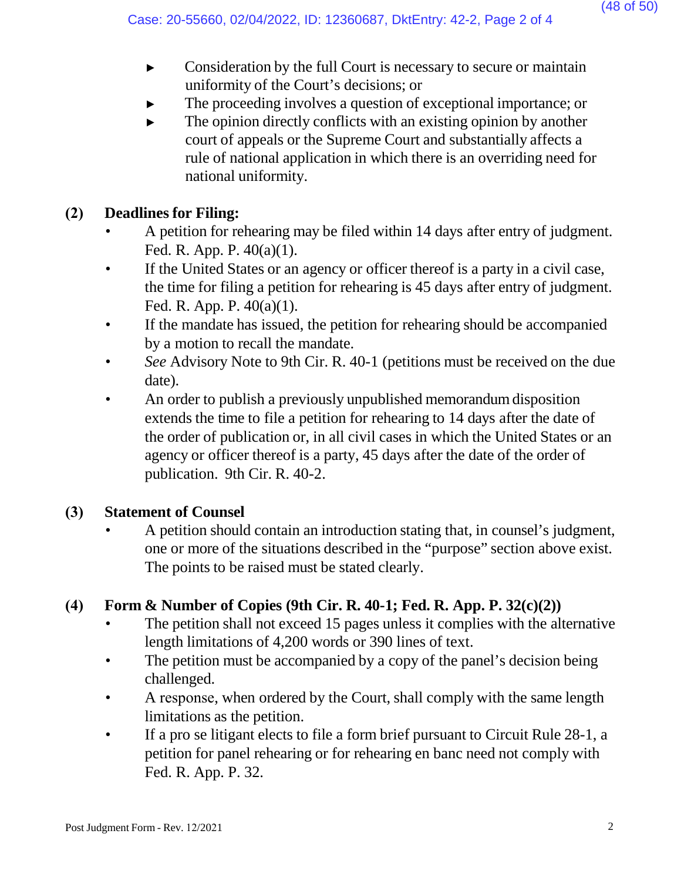- ► Consideration by the full Court is necessary to secure or maintain uniformity of the Court's decisions; or
- The proceeding involves a question of exceptional importance; or
- $\blacktriangleright$  The opinion directly conflicts with an existing opinion by another court of appeals or the Supreme Court and substantially affects a rule of national application in which there is an overriding need for national uniformity.

# **(2) Deadlines for Filing:**

- A petition for rehearing may be filed within 14 days after entry of judgment. Fed. R. App. P. 40(a)(1).
- If the United States or an agency or officer thereof is a party in a civil case, the time for filing a petition for rehearing is 45 days after entry of judgment. Fed. R. App. P. 40(a)(1).
- If the mandate has issued, the petition for rehearing should be accompanied by a motion to recall the mandate.
- *See* Advisory Note to 9th Cir. R. 40-1 (petitions must be received on the due date).
- An order to publish a previously unpublished memorandum disposition extends the time to file a petition for rehearing to 14 days after the date of the order of publication or, in all civil cases in which the United States or an agency or officer thereof is a party, 45 days after the date of the order of publication. 9th Cir. R. 40-2.

# **(3) Statement of Counsel**

• A petition should contain an introduction stating that, in counsel's judgment, one or more of the situations described in the "purpose" section above exist. The points to be raised must be stated clearly.

# **(4) Form & Number of Copies (9th Cir. R. 40-1; Fed. R. App. P. 32(c)(2))**

- The petition shall not exceed 15 pages unless it complies with the alternative length limitations of 4,200 words or 390 lines of text.
- The petition must be accompanied by a copy of the panel's decision being challenged.
- A response, when ordered by the Court, shall comply with the same length limitations as the petition.
- If a pro se litigant elects to file a form brief pursuant to Circuit Rule 28-1, a petition for panel rehearing or for rehearing en banc need not comply with Fed. R. App. P. 32.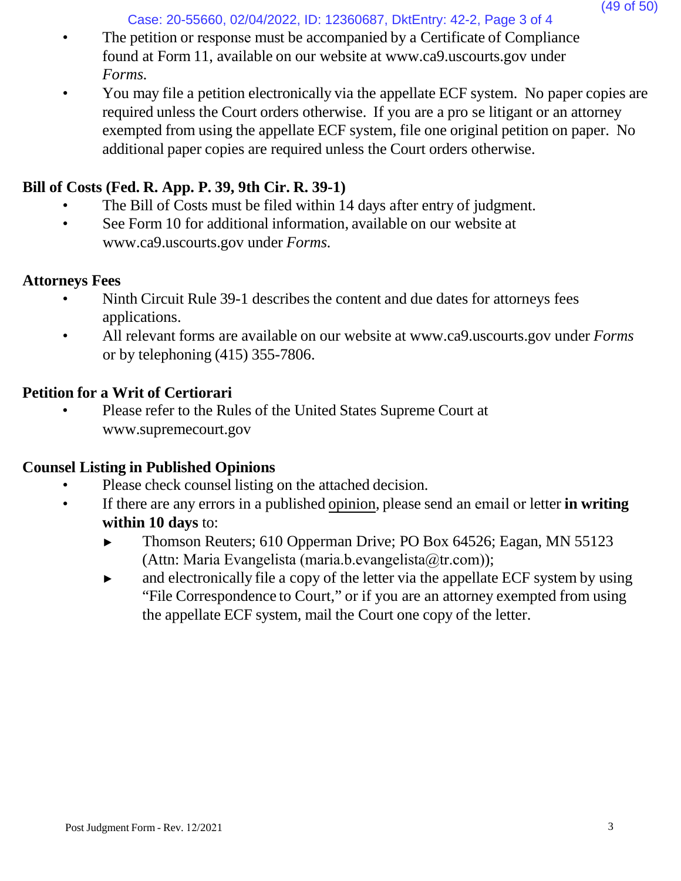Case: 20-55660, 02/04/2022, ID: 12360687, DktEntry: 42-2, Page 3 of 4

- The petition or response must be accompanied by a Certificate of Compliance found at Form 11, available on our website at [www.ca9.uscourts.gov](http://www.ca9.uscourts.gov/) under *Forms.*
- You may file a petition electronically via the appellate ECF system. No paper copies are required unless the Court orders otherwise. If you are a pro se litigant or an attorney exempted from using the appellate ECF system, file one original petition on paper. No additional paper copies are required unless the Court orders otherwise.

# **Bill of Costs (Fed. R. App. P. 39, 9th Cir. R. 39-1)**

- The Bill of Costs must be filed within 14 days after entry of judgment.
- See Form 10 for addi[t](http://www.ca9.uscourts.gov/)ional information, available on our website at [www.ca9.uscourts.gov](http://www.ca9.uscourts.gov/) under *Forms.*

# **Attorneys Fees**

- Ninth Circuit Rule 39-1 describes the content and due dates for attorneys fees applications.
- All relevant forms are available on our website at [www.ca9.uscourts.gov](http://www.ca9.uscourts.gov/) under *Forms* or by telephoning (415) 355-7806.

# **Petition for a Writ of Certiorari**

• Please refer to the Rules of the United States Supreme Court a[t](http://www.supremecourt.gov/) [www.supremecourt.gov](http://www.supremecourt.gov/)

# **Counsel Listing in Published Opinions**

- Please check counsel listing on the attached decision.
- If there are any errors in a published opinion, please send an email or letter **in writing within 10 days** to:
	- ► Thomson Reuters; 610 Opperman Drive; PO Box 64526; Eagan, MN 55123 (Attn: Maria Evangelista (maria.b.evangelista@tr.com));
	- ► and electronically file a copy of the letter via the appellate ECF system by using "File Correspondence to Court," or if you are an attorney exempted from using the appellate ECF system, mail the Court one copy of the letter.